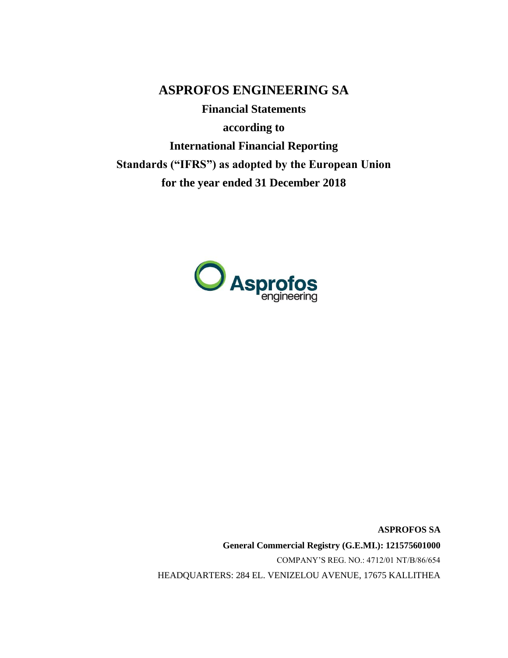**ASPROFOS ENGINEERING SA**

**Financial Statements according to International Financial Reporting Standards ("IFRS") as adopted by the European Union for the year ended 31 December 2018**



**ASPROFOS SA General Commercial Registry (G.E.MI.): 121575601000** COMPANY'S REG. NO.: 4712/01 ΝΤ/Β/86/654 HEADQUARTERS: 284 EL. VENIZELOU AVENUE, 17675 KALLITHEA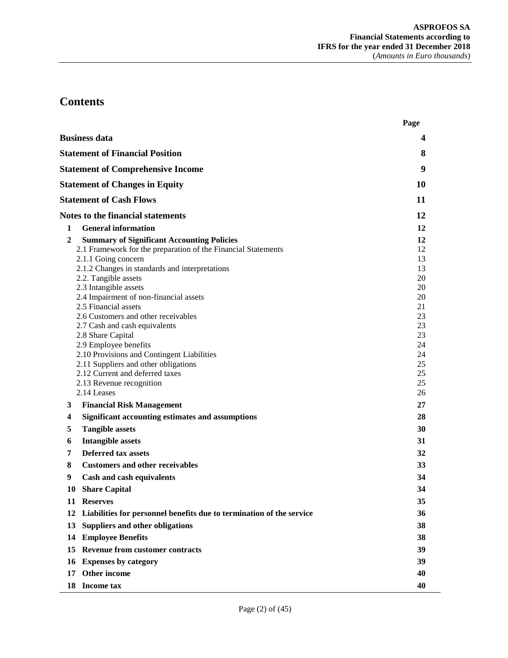# **Contents**

|        |                                                                                                                                                                                                                                                                                                                                                                                                                                                                                                                                                                                                          | Page                                                                                               |
|--------|----------------------------------------------------------------------------------------------------------------------------------------------------------------------------------------------------------------------------------------------------------------------------------------------------------------------------------------------------------------------------------------------------------------------------------------------------------------------------------------------------------------------------------------------------------------------------------------------------------|----------------------------------------------------------------------------------------------------|
|        | <b>Business data</b>                                                                                                                                                                                                                                                                                                                                                                                                                                                                                                                                                                                     | 4                                                                                                  |
|        | <b>Statement of Financial Position</b>                                                                                                                                                                                                                                                                                                                                                                                                                                                                                                                                                                   | 8                                                                                                  |
|        | <b>Statement of Comprehensive Income</b>                                                                                                                                                                                                                                                                                                                                                                                                                                                                                                                                                                 | 9                                                                                                  |
|        | <b>Statement of Changes in Equity</b>                                                                                                                                                                                                                                                                                                                                                                                                                                                                                                                                                                    | 10                                                                                                 |
|        | <b>Statement of Cash Flows</b>                                                                                                                                                                                                                                                                                                                                                                                                                                                                                                                                                                           | 11                                                                                                 |
|        | <b>Notes to the financial statements</b>                                                                                                                                                                                                                                                                                                                                                                                                                                                                                                                                                                 | 12                                                                                                 |
| 1      | <b>General information</b>                                                                                                                                                                                                                                                                                                                                                                                                                                                                                                                                                                               | 12                                                                                                 |
| 2      | <b>Summary of Significant Accounting Policies</b><br>2.1 Framework for the preparation of the Financial Statements<br>2.1.1 Going concern<br>2.1.2 Changes in standards and interpretations<br>2.2. Tangible assets<br>2.3 Intangible assets<br>2.4 Impairment of non-financial assets<br>2.5 Financial assets<br>2.6 Customers and other receivables<br>2.7 Cash and cash equivalents<br>2.8 Share Capital<br>2.9 Employee benefits<br>2.10 Provisions and Contingent Liabilities<br>2.11 Suppliers and other obligations<br>2.12 Current and deferred taxes<br>2.13 Revenue recognition<br>2.14 Leases | 12<br>12<br>13<br>13<br>20<br>20<br>20<br>21<br>23<br>23<br>23<br>24<br>24<br>25<br>25<br>25<br>26 |
| 3      | <b>Financial Risk Management</b>                                                                                                                                                                                                                                                                                                                                                                                                                                                                                                                                                                         | 27                                                                                                 |
| 4<br>5 | Significant accounting estimates and assumptions<br><b>Tangible assets</b>                                                                                                                                                                                                                                                                                                                                                                                                                                                                                                                               | 28<br>30                                                                                           |
| 6      | <b>Intangible assets</b>                                                                                                                                                                                                                                                                                                                                                                                                                                                                                                                                                                                 | 31                                                                                                 |
| 7      | <b>Deferred tax assets</b>                                                                                                                                                                                                                                                                                                                                                                                                                                                                                                                                                                               | 32                                                                                                 |
| 8      | <b>Customers and other receivables</b>                                                                                                                                                                                                                                                                                                                                                                                                                                                                                                                                                                   | 33                                                                                                 |
| 9      | Cash and cash equivalents                                                                                                                                                                                                                                                                                                                                                                                                                                                                                                                                                                                | 34                                                                                                 |
| 10     | <b>Share Capital</b>                                                                                                                                                                                                                                                                                                                                                                                                                                                                                                                                                                                     | 34                                                                                                 |
|        | 11 Reserves                                                                                                                                                                                                                                                                                                                                                                                                                                                                                                                                                                                              | 35                                                                                                 |
| 12     | Liabilities for personnel benefits due to termination of the service                                                                                                                                                                                                                                                                                                                                                                                                                                                                                                                                     | 36                                                                                                 |
| 13     | Suppliers and other obligations                                                                                                                                                                                                                                                                                                                                                                                                                                                                                                                                                                          | 38                                                                                                 |
| 14     | <b>Employee Benefits</b>                                                                                                                                                                                                                                                                                                                                                                                                                                                                                                                                                                                 | 38                                                                                                 |
| 15     | <b>Revenue from customer contracts</b>                                                                                                                                                                                                                                                                                                                                                                                                                                                                                                                                                                   | 39                                                                                                 |
| 16     | <b>Expenses by category</b>                                                                                                                                                                                                                                                                                                                                                                                                                                                                                                                                                                              | 39                                                                                                 |
| 17     | Other income                                                                                                                                                                                                                                                                                                                                                                                                                                                                                                                                                                                             | 40                                                                                                 |
|        | 18 Income tax                                                                                                                                                                                                                                                                                                                                                                                                                                                                                                                                                                                            | 40                                                                                                 |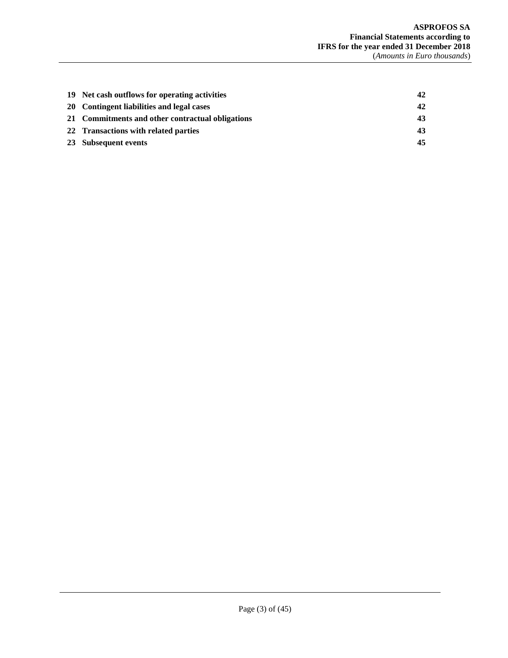| 19 Net cash outflows for operating activities    | 42 |
|--------------------------------------------------|----|
| 20 Contingent liabilities and legal cases        | 42 |
| 21 Commitments and other contractual obligations | 43 |
| 22 Transactions with related parties             | 43 |
| 23 Subsequent events                             | 45 |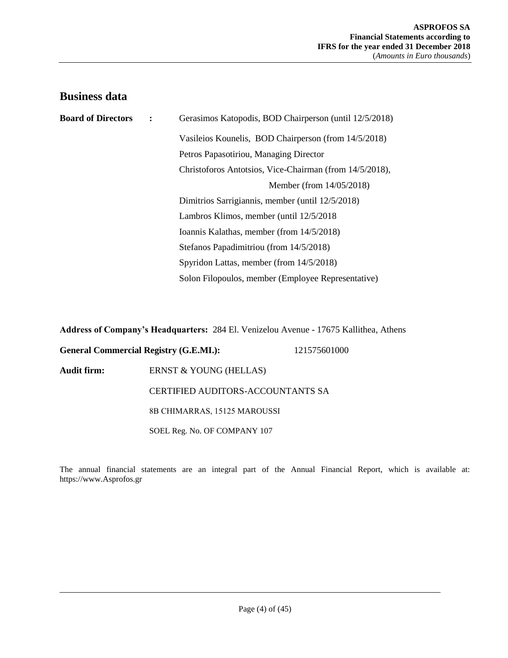# <span id="page-3-0"></span>**Business data**

| <b>Board of Directors</b> | Gerasimos Katopodis, BOD Chairperson (until 12/5/2018)  |  |  |
|---------------------------|---------------------------------------------------------|--|--|
|                           | Vasileios Kounelis, BOD Chairperson (from 14/5/2018)    |  |  |
|                           | Petros Papasotiriou, Managing Director                  |  |  |
|                           | Christoforos Antotsios, Vice-Chairman (from 14/5/2018), |  |  |
|                           | Member (from 14/05/2018)                                |  |  |
|                           | Dimitrios Sarrigiannis, member (until 12/5/2018)        |  |  |
|                           | Lambros Klimos, member (until 12/5/2018)                |  |  |
|                           | Ioannis Kalathas, member (from 14/5/2018)               |  |  |
|                           | Stefanos Papadimitriou (from 14/5/2018)                 |  |  |
|                           | Spyridon Lattas, member (from 14/5/2018)                |  |  |
|                           | Solon Filopoulos, member (Employee Representative)      |  |  |

**Address of Company's Headquarters:** 284 El. Venizelou Avenue - 17675 Kallithea, Athens

**General Commercial Registry (G.E.MI.):** 121575601000

Audit firm: **ERNST & YOUNG (HELLAS)** 

CERTIFIED AUDITORS-ACCOUNTANTS SA

8Β CHIMARRAS, 15125 MAROUSSI

SOEL Reg. No. OF COMPANY 107

The annual financial statements are an integral part of the Annual Financial Report, which is available at: https://www.Asprofos.gr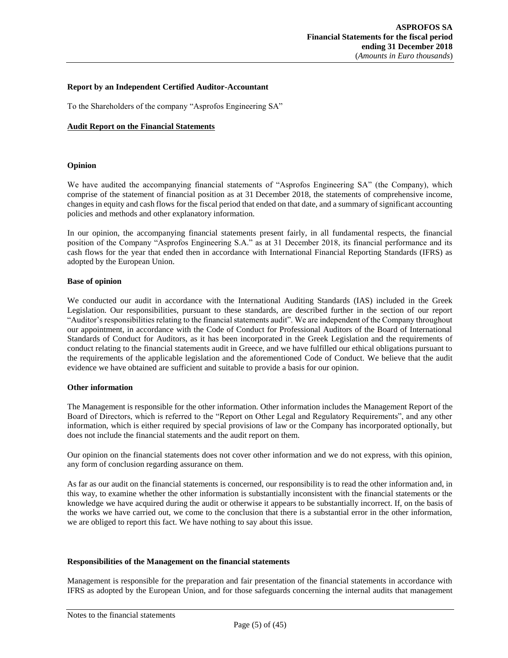#### **Report by an Independent Certified Auditor-Accountant**

To the Shareholders of the company "Asprofos Engineering SA"

#### **Audit Report on the Financial Statements**

#### **Opinion**

We have audited the accompanying financial statements of "Asprofos Engineering SA" (the Company), which comprise of the statement of financial position as at 31 December 2018, the statements of comprehensive income, changes in equity and cash flows for the fiscal period that ended on that date, and a summary of significant accounting policies and methods and other explanatory information.

In our opinion, the accompanying financial statements present fairly, in all fundamental respects, the financial position of the Company "Asprofos Engineering S.A." as at 31 December 2018, its financial performance and its cash flows for the year that ended then in accordance with International Financial Reporting Standards (IFRS) as adopted by the European Union.

#### **Base of opinion**

We conducted our audit in accordance with the International Auditing Standards (IAS) included in the Greek Legislation. Our responsibilities, pursuant to these standards, are described further in the section of our report "Auditor's responsibilities relating to the financial statements audit". We are independent of the Company throughout our appointment, in accordance with the Code of Conduct for Professional Auditors of the Board of International Standards of Conduct for Auditors, as it has been incorporated in the Greek Legislation and the requirements of conduct relating to the financial statements audit in Greece, and we have fulfilled our ethical obligations pursuant to the requirements of the applicable legislation and the aforementioned Code of Conduct. We believe that the audit evidence we have obtained are sufficient and suitable to provide a basis for our opinion.

#### **Other information**

The Management is responsible for the other information. Other information includes the Management Report of the Board of Directors, which is referred to the "Report on Other Legal and Regulatory Requirements", and any other information, which is either required by special provisions of law or the Company has incorporated optionally, but does not include the financial statements and the audit report on them.

Our opinion on the financial statements does not cover other information and we do not express, with this opinion, any form of conclusion regarding assurance on them.

As far as our audit on the financial statements is concerned, our responsibility is to read the other information and, in this way, to examine whether the other information is substantially inconsistent with the financial statements or the knowledge we have acquired during the audit or otherwise it appears to be substantially incorrect. If, on the basis of the works we have carried out, we come to the conclusion that there is a substantial error in the other information, we are obliged to report this fact. We have nothing to say about this issue.

#### **Responsibilities of the Management on the financial statements**

Management is responsible for the preparation and fair presentation of the financial statements in accordance with IFRS as adopted by the European Union, and for those safeguards concerning the internal audits that management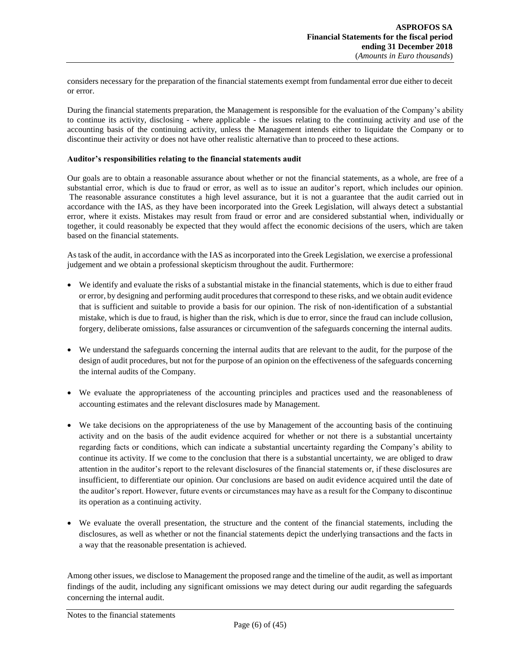considers necessary for the preparation of the financial statements exempt from fundamental error due either to deceit or error.

During the financial statements preparation, the Management is responsible for the evaluation of the Company's ability to continue its activity, disclosing - where applicable - the issues relating to the continuing activity and use of the accounting basis of the continuing activity, unless the Management intends either to liquidate the Company or to discontinue their activity or does not have other realistic alternative than to proceed to these actions.

#### **Auditor's responsibilities relating to the financial statements audit**

Our goals are to obtain a reasonable assurance about whether or not the financial statements, as a whole, are free of a substantial error, which is due to fraud or error, as well as to issue an auditor's report, which includes our opinion. The reasonable assurance constitutes a high level assurance, but it is not a guarantee that the audit carried out in accordance with the IAS, as they have been incorporated into the Greek Legislation, will always detect a substantial error, where it exists. Mistakes may result from fraud or error and are considered substantial when, individually or together, it could reasonably be expected that they would affect the economic decisions of the users, which are taken based on the financial statements.

As task of the audit, in accordance with the IAS as incorporated into the Greek Legislation, we exercise a professional judgement and we obtain a professional skepticism throughout the audit. Furthermore:

- We identify and evaluate the risks of a substantial mistake in the financial statements, which is due to either fraud or error, by designing and performing audit procedures that correspond to these risks, and we obtain audit evidence that is sufficient and suitable to provide a basis for our opinion. The risk of non-identification of a substantial mistake, which is due to fraud, is higher than the risk, which is due to error, since the fraud can include collusion, forgery, deliberate omissions, false assurances or circumvention of the safeguards concerning the internal audits.
- We understand the safeguards concerning the internal audits that are relevant to the audit, for the purpose of the design of audit procedures, but not for the purpose of an opinion on the effectiveness of the safeguards concerning the internal audits of the Company.
- We evaluate the appropriateness of the accounting principles and practices used and the reasonableness of accounting estimates and the relevant disclosures made by Management.
- We take decisions on the appropriateness of the use by Management of the accounting basis of the continuing activity and on the basis of the audit evidence acquired for whether or not there is a substantial uncertainty regarding facts or conditions, which can indicate a substantial uncertainty regarding the Company's ability to continue its activity. If we come to the conclusion that there is a substantial uncertainty, we are obliged to draw attention in the auditor's report to the relevant disclosures of the financial statements or, if these disclosures are insufficient, to differentiate our opinion. Our conclusions are based on audit evidence acquired until the date of the auditor's report. However, future events or circumstances may have as a result for the Company to discontinue its operation as a continuing activity.
- We evaluate the overall presentation, the structure and the content of the financial statements, including the disclosures, as well as whether or not the financial statements depict the underlying transactions and the facts in a way that the reasonable presentation is achieved.

Among other issues, we disclose to Management the proposed range and the timeline of the audit, as well as important findings of the audit, including any significant omissions we may detect during our audit regarding the safeguards concerning the internal audit.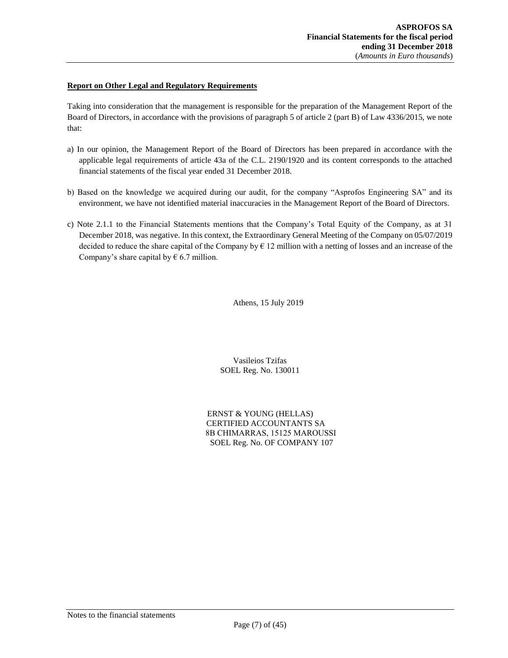#### **Report on Other Legal and Regulatory Requirements**

Taking into consideration that the management is responsible for the preparation of the Management Report of the Board of Directors, in accordance with the provisions of paragraph 5 of article 2 (part B) of Law 4336/2015, we note that:

- a) In our opinion, the Management Report of the Board of Directors has been prepared in accordance with the applicable legal requirements of article 43a of the C.L. 2190/1920 and its content corresponds to the attached financial statements of the fiscal year ended 31 December 2018.
- b) Based on the knowledge we acquired during our audit, for the company "Asprofos Engineering SA" and its environment, we have not identified material inaccuracies in the Management Report of the Board of Directors.
- c) Note 2.1.1 to the Financial Statements mentions that the Company's Total Equity of the Company, as at 31 December 2018, was negative. In this context, the Extraordinary General Meeting of the Company on 05/07/2019 decided to reduce the share capital of the Company by  $\epsilon$  12 million with a netting of losses and an increase of the Company's share capital by  $\epsilon$  6.7 million.

Athens, 15 July 2019

Vasileios Tzifas SOEL Reg. No. 130011

ERNST & YOUNG (HELLAS) CERTIFIED ACCOUNTANTS SA 8Β CHIMARRAS, 15125 MAROUSSI SOEL Reg. No. OF COMPANY 107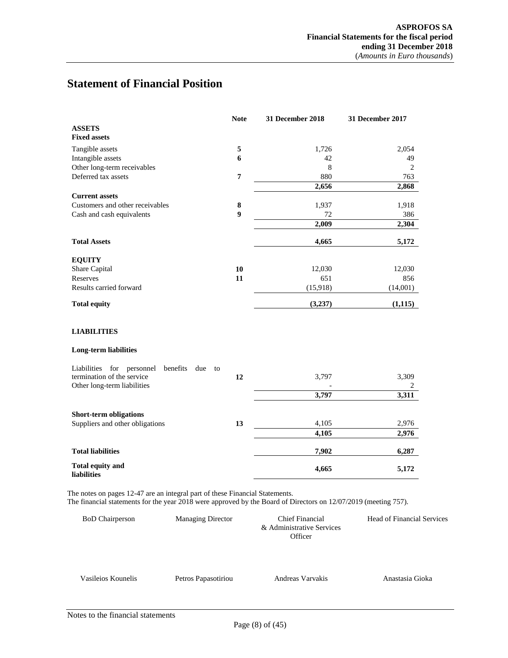# <span id="page-7-0"></span>**Statement of Financial Position**

| <b>Note</b>      | 31 December 2018 | 31 December 2017 |
|------------------|------------------|------------------|
|                  |                  |                  |
| 5                | 1,726            | 2,054            |
| 6                | 42               | 49               |
|                  | 8                | $\overline{2}$   |
| $\overline{7}$   | 880              | 763              |
|                  | 2,656            | 2,868            |
|                  |                  |                  |
| 8                | 1,937            | 1,918            |
| $\boldsymbol{9}$ | 72               | 386              |
|                  | 2,009            | 2,304            |
|                  | 4,665            | 5,172            |
|                  |                  |                  |
| 10               | 12,030           | 12,030           |
| 11               | 651              | 856              |
|                  | (15,918)         | (14,001)         |
|                  | (3,237)          | (1, 115)         |
|                  |                  |                  |
|                  |                  |                  |
| to               |                  |                  |
|                  |                  | 3,309            |
|                  |                  | 2                |
|                  |                  | 3,311            |
|                  |                  |                  |
| 13               | 4,105            | 2,976            |
|                  | 4,105            | 2,976            |
|                  | 7,902            | 6,287            |
|                  | 4,665            | 5,172            |
|                  | 12               | 3,797<br>3,797   |

The notes on pages 12-47 are an integral part of these Financial Statements.

The financial statements for the year 2018 were approved by the Board of Directors on 12/07/2019 (meeting 757).

| <b>BoD</b> Chairperson | <b>Managing Director</b> | Chief Financial<br>& Administrative Services<br>Officer | <b>Head of Financial Services</b> |
|------------------------|--------------------------|---------------------------------------------------------|-----------------------------------|
| Vasileios Kounelis     | Petros Papasotiriou      | Andreas Varvakis                                        | Anastasia Gioka                   |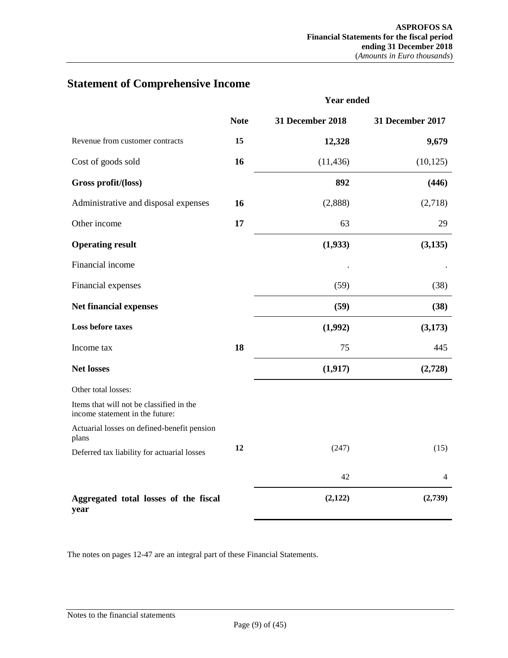|                                                                             |             | <b>Year ended</b> |                         |  |
|-----------------------------------------------------------------------------|-------------|-------------------|-------------------------|--|
|                                                                             | <b>Note</b> | 31 December 2018  | <b>31 December 2017</b> |  |
| Revenue from customer contracts                                             | 15          | 12,328            | 9,679                   |  |
| Cost of goods sold                                                          | 16          | (11, 436)         | (10, 125)               |  |
| Gross profit/(loss)                                                         |             | 892               | (446)                   |  |
| Administrative and disposal expenses                                        | 16          | (2,888)           | (2,718)                 |  |
| Other income                                                                | 17          | 63                | 29                      |  |
| <b>Operating result</b>                                                     |             | (1,933)           | (3, 135)                |  |
| Financial income                                                            |             |                   |                         |  |
| Financial expenses                                                          |             | (59)              | (38)                    |  |
| Net financial expenses                                                      |             | (59)              | (38)                    |  |
| Loss before taxes                                                           |             | (1,992)           | (3,173)                 |  |
| Income tax                                                                  | 18          | 75                | 445                     |  |
| <b>Net losses</b>                                                           |             | (1, 917)          | (2,728)                 |  |
| Other total losses:                                                         |             |                   |                         |  |
| Items that will not be classified in the<br>income statement in the future: |             |                   |                         |  |
| Actuarial losses on defined-benefit pension<br>plans                        |             |                   |                         |  |
| Deferred tax liability for actuarial losses                                 | 12          | (247)             | (15)                    |  |
|                                                                             |             | 42                | 4                       |  |
| Aggregated total losses of the fiscal<br>year                               |             | (2,122)           | (2,739)                 |  |

# <span id="page-8-0"></span>**Statement of Comprehensive Income**

The notes on pages 12-47 are an integral part of these Financial Statements.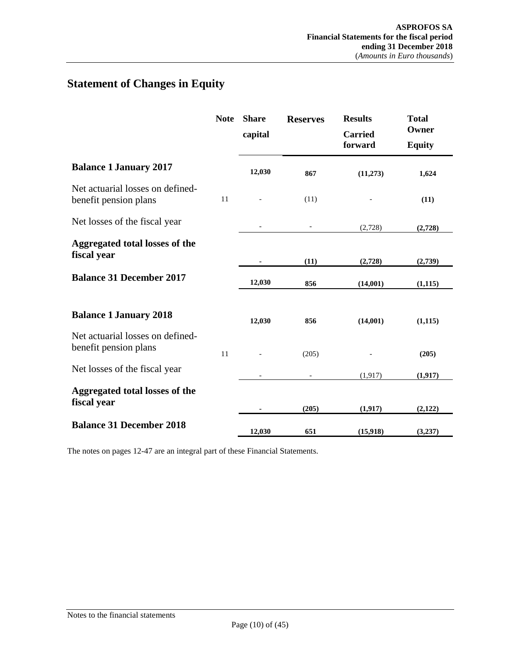# <span id="page-9-0"></span>**Statement of Changes in Equity**

|                                                           | <b>Note</b> | <b>Share</b><br>capital | <b>Reserves</b> | <b>Results</b><br><b>Carried</b><br>forward | <b>Total</b><br>Owner<br><b>Equity</b> |
|-----------------------------------------------------------|-------------|-------------------------|-----------------|---------------------------------------------|----------------------------------------|
| <b>Balance 1 January 2017</b>                             |             | 12,030                  | 867             | (11,273)                                    | 1,624                                  |
| Net actuarial losses on defined-<br>benefit pension plans | 11          |                         | (11)            |                                             | (11)                                   |
| Net losses of the fiscal year                             |             |                         |                 | (2,728)                                     | (2,728)                                |
| Aggregated total losses of the<br>fiscal year             |             |                         | (11)            | (2,728)                                     | (2,739)                                |
| <b>Balance 31 December 2017</b>                           |             | 12,030                  | 856             | (14,001)                                    | (1, 115)                               |
| <b>Balance 1 January 2018</b>                             |             | 12,030                  | 856             | (14,001)                                    | (1,115)                                |
| Net actuarial losses on defined-<br>benefit pension plans | 11          |                         | (205)           |                                             | (205)                                  |
| Net losses of the fiscal year                             |             |                         |                 | (1, 917)                                    | (1, 917)                               |
| Aggregated total losses of the<br>fiscal year             |             |                         | (205)           | (1, 917)                                    | (2,122)                                |
| <b>Balance 31 December 2018</b>                           |             | 12.030                  | 651             | (15,918)                                    | (3,237)                                |

The notes on pages 12-47 are an integral part of these Financial Statements.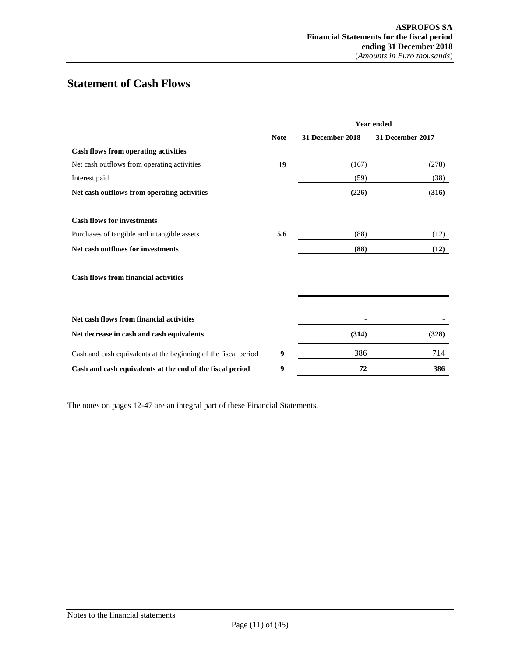# <span id="page-10-0"></span>**Statement of Cash Flows**

|                                                                 |             | <b>Year ended</b> |                  |  |
|-----------------------------------------------------------------|-------------|-------------------|------------------|--|
|                                                                 | <b>Note</b> | 31 December 2018  | 31 December 2017 |  |
| <b>Cash flows from operating activities</b>                     |             |                   |                  |  |
| Net cash outflows from operating activities                     | 19          | (167)             | (278)            |  |
| Interest paid                                                   |             | (59)              | (38)             |  |
| Net cash outflows from operating activities                     |             | (226)             | (316)            |  |
| <b>Cash flows for investments</b>                               |             |                   |                  |  |
| Purchases of tangible and intangible assets                     | 5.6         | (88)              | (12)             |  |
| Net cash outflows for investments                               |             | (88)              | (12)             |  |
| <b>Cash flows from financial activities</b>                     |             |                   |                  |  |
| Net cash flows from financial activities                        |             |                   |                  |  |
| Net decrease in cash and cash equivalents                       |             | (314)             | (328)            |  |
| Cash and cash equivalents at the beginning of the fiscal period | 9           | 386               | 714              |  |
| Cash and cash equivalents at the end of the fiscal period       | 9           | 72                | 386              |  |

The notes on pages 12-47 are an integral part of these Financial Statements.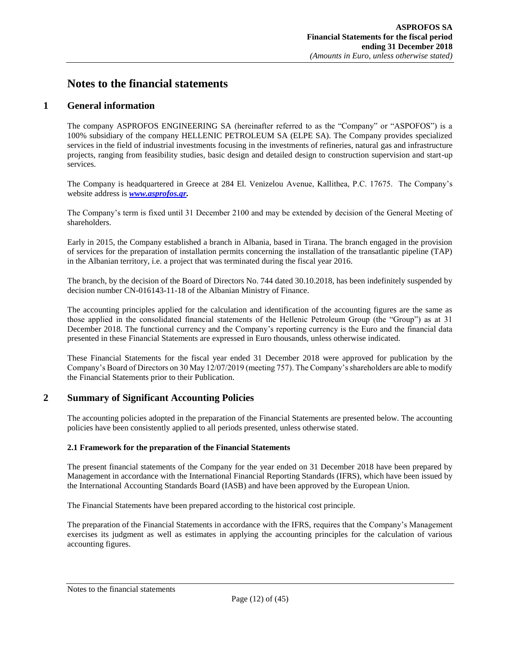# <span id="page-11-1"></span><span id="page-11-0"></span>**Notes to the financial statements**

# **1 General information**

The company ASPROFOS ENGINEERING SA (hereinafter referred to as the "Company" or "ASPOFOS") is a 100% subsidiary of the company HELLENIC PETROLEUM SA (ELPE SA). The Company provides specialized services in the field of industrial investments focusing in the investments of refineries, natural gas and infrastructure projects, ranging from feasibility studies, basic design and detailed design to construction supervision and start-up services.

The Company is headquartered in Greece at 284 El. Venizelou Avenue, Kallithea, P.C. 17675. The Company's website address is *[www.asprofos.gr.](http://www.asprofos.gr/)*

The Company's term is fixed until 31 December 2100 and may be extended by decision of the General Meeting of shareholders.

Early in 2015, the Company established a branch in Albania, based in Tirana. The branch engaged in the provision of services for the preparation of installation permits concerning the installation of the transatlantic pipeline (TAP) in the Albanian territory, i.e. a project that was terminated during the fiscal year 2016.

The branch, by the decision of the Board of Directors No. 744 dated 30.10.2018, has been indefinitely suspended by decision number CN-016143-11-18 of the Albanian Ministry of Finance.

The accounting principles applied for the calculation and identification of the accounting figures are the same as those applied in the consolidated financial statements of the Hellenic Petroleum Group (the "Group") as at 31 December 2018. The functional currency and the Company's reporting currency is the Euro and the financial data presented in these Financial Statements are expressed in Euro thousands, unless otherwise indicated.

These Financial Statements for the fiscal year ended 31 December 2018 were approved for publication by the Company's Board of Directors on 30 May 12/07/2019 (meeting 757). The Company's shareholders are able to modify the Financial Statements prior to their Publication.

# <span id="page-11-2"></span>**2 Summary of Significant Accounting Policies**

The accounting policies adopted in the preparation of the Financial Statements are presented below. The accounting policies have been consistently applied to all periods presented, unless otherwise stated.

## <span id="page-11-3"></span>**2.1 Framework for the preparation of the Financial Statements**

The present financial statements of the Company for the year ended on 31 December 2018 have been prepared by Management in accordance with the International Financial Reporting Standards (IFRS), which have been issued by the International Accounting Standards Board (IASB) and have been approved by the European Union.

The Financial Statements have been prepared according to the historical cost principle.

The preparation of the Financial Statements in accordance with the IFRS, requires that the Company's Management exercises its judgment as well as estimates in applying the accounting principles for the calculation of various accounting figures.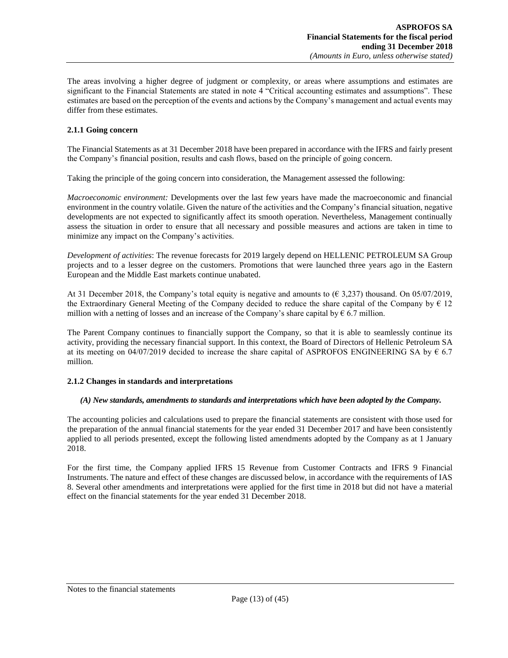The areas involving a higher degree of judgment or complexity, or areas where assumptions and estimates are significant to the Financial Statements are stated in note 4 "Critical accounting estimates and assumptions". These estimates are based on the perception of the events and actions by the Company's management and actual events may differ from these estimates.

#### <span id="page-12-0"></span>**2.1.1 Going concern**

The Financial Statements as at 31 December 2018 have been prepared in accordance with the IFRS and fairly present the Company's financial position, results and cash flows, based on the principle of going concern.

Taking the principle of the going concern into consideration, the Management assessed the following:

*Macroeconomic environment:* Developments over the last few years have made the macroeconomic and financial environment in the country volatile. Given the nature of the activities and the Company's financial situation, negative developments are not expected to significantly affect its smooth operation. Nevertheless, Management continually assess the situation in order to ensure that all necessary and possible measures and actions are taken in time to minimize any impact on the Company's activities.

*Development of activities*: The revenue forecasts for 2019 largely depend on HELLENIC PETROLEUM SA Group projects and to a lesser degree on the customers. Promotions that were launched three years ago in the Eastern European and the Middle East markets continue unabated.

At 31 December 2018, the Company's total equity is negative and amounts to  $(\epsilon 3.237)$  thousand. On 05/07/2019, the Extraordinary General Meeting of the Company decided to reduce the share capital of the Company by  $\epsilon$  12 million with a netting of losses and an increase of the Company's share capital by  $\epsilon$  6.7 million.

The Parent Company continues to financially support the Company, so that it is able to seamlessly continue its activity, providing the necessary financial support. In this context, the Board of Directors of Hellenic Petroleum SA at its meeting on 04/07/2019 decided to increase the share capital of ASPROFOS ENGINEERING SA by  $\epsilon$  6.7 million.

#### <span id="page-12-1"></span>**2.1.2 Changes in standards and interpretations**

#### *(A) New standards, amendments to standards and interpretations which have been adopted by the Company.*

The accounting policies and calculations used to prepare the financial statements are consistent with those used for the preparation of the annual financial statements for the year ended 31 December 2017 and have been consistently applied to all periods presented, except the following listed amendments adopted by the Company as at 1 January 2018.

For the first time, the Company applied IFRS 15 Revenue from Customer Contracts and IFRS 9 Financial Instruments. The nature and effect of these changes are discussed below, in accordance with the requirements of IAS 8. Several other amendments and interpretations were applied for the first time in 2018 but did not have a material effect on the financial statements for the year ended 31 December 2018.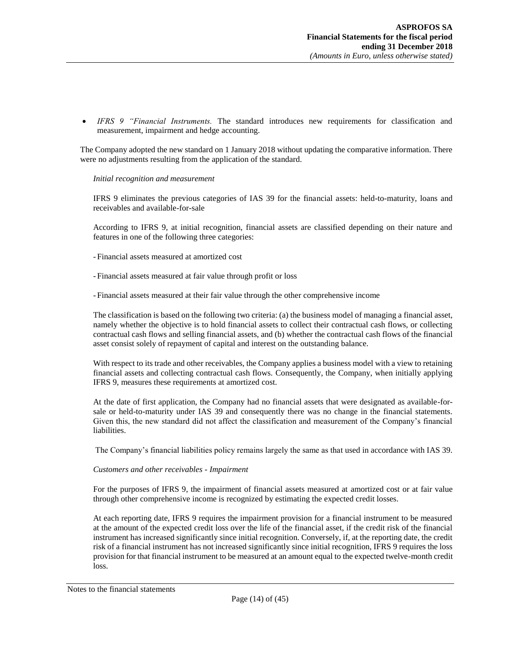*IFRS 9 "Financial Instruments.* The standard introduces new requirements for classification and measurement, impairment and hedge accounting.

The Company adopted the new standard on 1 January 2018 without updating the comparative information. There were no adjustments resulting from the application of the standard.

*Initial recognition and measurement* 

IFRS 9 eliminates the previous categories of IAS 39 for the financial assets: held-to-maturity, loans and receivables and available-for-sale

According to IFRS 9, at initial recognition, financial assets are classified depending on their nature and features in one of the following three categories:

- Financial assets measured at amortized cost

- Financial assets measured at fair value through profit or loss

- Financial assets measured at their fair value through the other comprehensive income

The classification is based on the following two criteria: (a) the business model of managing a financial asset, namely whether the objective is to hold financial assets to collect their contractual cash flows, or collecting contractual cash flows and selling financial assets, and (b) whether the contractual cash flows of the financial asset consist solely of repayment of capital and interest on the outstanding balance.

With respect to its trade and other receivables, the Company applies a business model with a view to retaining financial assets and collecting contractual cash flows. Consequently, the Company, when initially applying IFRS 9, measures these requirements at amortized cost.

At the date of first application, the Company had no financial assets that were designated as available-forsale or held-to-maturity under IAS 39 and consequently there was no change in the financial statements. Given this, the new standard did not affect the classification and measurement of the Company's financial liabilities.

The Company's financial liabilities policy remains largely the same as that used in accordance with IAS 39.

#### *Customers and other receivables - Impairment*

For the purposes of IFRS 9, the impairment of financial assets measured at amortized cost or at fair value through other comprehensive income is recognized by estimating the expected credit losses.

At each reporting date, IFRS 9 requires the impairment provision for a financial instrument to be measured at the amount of the expected credit loss over the life of the financial asset, if the credit risk of the financial instrument has increased significantly since initial recognition. Conversely, if, at the reporting date, the credit risk of a financial instrument has not increased significantly since initial recognition, IFRS 9 requires the loss provision for that financial instrument to be measured at an amount equal to the expected twelve-month credit loss.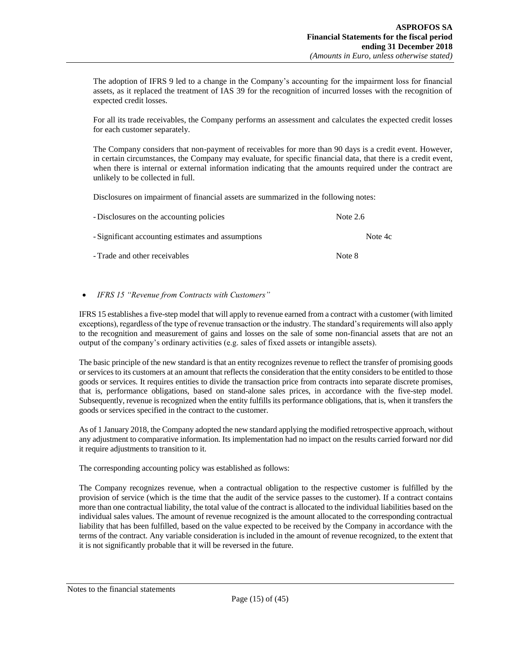The adoption of IFRS 9 led to a change in the Company's accounting for the impairment loss for financial assets, as it replaced the treatment of IAS 39 for the recognition of incurred losses with the recognition of expected credit losses.

For all its trade receivables, the Company performs an assessment and calculates the expected credit losses for each customer separately.

The Company considers that non-payment of receivables for more than 90 days is a credit event. However, in certain circumstances, the Company may evaluate, for specific financial data, that there is a credit event, when there is internal or external information indicating that the amounts required under the contract are unlikely to be collected in full.

Disclosures on impairment of financial assets are summarized in the following notes:

| - Disclosures on the accounting policies           | Note $2.6$ |
|----------------------------------------------------|------------|
| - Significant accounting estimates and assumptions | Note 4c    |
| - Trade and other receivables                      | Note 8     |

#### *IFRS 15 "Revenue from Contracts with Customers"*

IFRS 15 establishes a five-step model that will apply to revenue earned from a contract with a customer (with limited exceptions), regardless of the type of revenue transaction or the industry. The standard's requirements will also apply to the recognition and measurement of gains and losses on the sale of some non-financial assets that are not an output of the company's ordinary activities (e.g. sales of fixed assets or intangible assets).

The basic principle of the new standard is that an entity recognizes revenue to reflect the transfer of promising goods or services to its customers at an amount that reflects the consideration that the entity considers to be entitled to those goods or services. It requires entities to divide the transaction price from contracts into separate discrete promises, that is, performance obligations, based on stand-alone sales prices, in accordance with the five-step model. Subsequently, revenue is recognized when the entity fulfills its performance obligations, that is, when it transfers the goods or services specified in the contract to the customer.

As of 1 January 2018, the Company adopted the new standard applying the modified retrospective approach, without any adjustment to comparative information. Its implementation had no impact on the results carried forward nor did it require adjustments to transition to it.

The corresponding accounting policy was established as follows:

The Company recognizes revenue, when a contractual obligation to the respective customer is fulfilled by the provision of service (which is the time that the audit of the service passes to the customer). If a contract contains more than one contractual liability, the total value of the contract is allocated to the individual liabilities based on the individual sales values. The amount of revenue recognized is the amount allocated to the corresponding contractual liability that has been fulfilled, based on the value expected to be received by the Company in accordance with the terms of the contract. Any variable consideration is included in the amount of revenue recognized, to the extent that it is not significantly probable that it will be reversed in the future.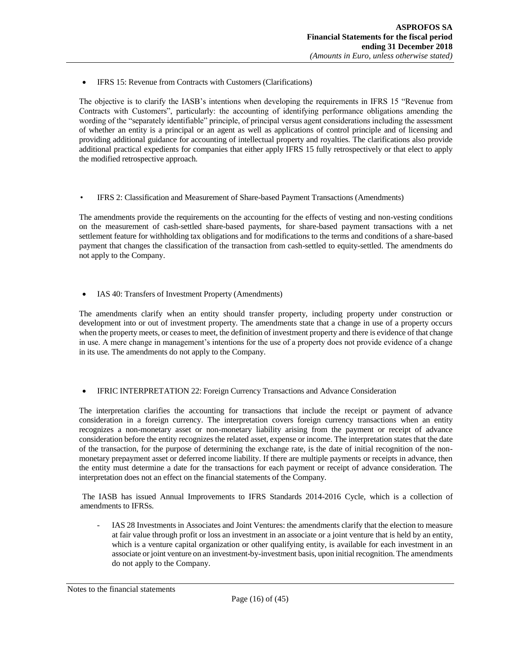IFRS 15: Revenue from Contracts with Customers (Clarifications)

The objective is to clarify the IASB's intentions when developing the requirements in IFRS 15 "Revenue from Contracts with Customers", particularly: the accounting of identifying performance obligations amending the wording of the "separately identifiable" principle, of principal versus agent considerations including the assessment of whether an entity is a principal or an agent as well as applications of control principle and of licensing and providing additional guidance for accounting of intellectual property and royalties. The clarifications also provide additional practical expedients for companies that either apply IFRS 15 fully retrospectively or that elect to apply the modified retrospective approach.

• IFRS 2: Classification and Measurement of Share-based Payment Transactions (Amendments)

The amendments provide the requirements on the accounting for the effects of vesting and non-vesting conditions on the measurement of cash-settled share-based payments, for share-based payment transactions with a net settlement feature for withholding tax obligations and for modifications to the terms and conditions of a share-based payment that changes the classification of the transaction from cash-settled to equity-settled. The amendments do not apply to the Company.

• IAS 40: Transfers of Investment Property (Amendments)

The amendments clarify when an entity should transfer property, including property under construction or development into or out of investment property. The amendments state that a change in use of a property occurs when the property meets, or ceases to meet, the definition of investment property and there is evidence of that change in use. A mere change in management's intentions for the use of a property does not provide evidence of a change in its use. The amendments do not apply to the Company.

#### IFRIC INTERPRETATION 22: Foreign Currency Transactions and Advance Consideration

The interpretation clarifies the accounting for transactions that include the receipt or payment of advance consideration in a foreign currency. The interpretation covers foreign currency transactions when an entity recognizes a non-monetary asset or non-monetary liability arising from the payment or receipt of advance consideration before the entity recognizes the related asset, expense or income. The interpretation states that the date of the transaction, for the purpose of determining the exchange rate, is the date of initial recognition of the nonmonetary prepayment asset or deferred income liability. If there are multiple payments or receipts in advance, then the entity must determine a date for the transactions for each payment or receipt of advance consideration. The interpretation does not an effect on the financial statements of the Company.

The IASB has issued Annual Improvements to IFRS Standards 2014-2016 Cycle, which is a collection of amendments to IFRSs.

IAS 28 Investments in Associates and Joint Ventures: the amendments clarify that the election to measure at fair value through profit or loss an investment in an associate or a joint venture that is held by an entity, which is a venture capital organization or other qualifying entity, is available for each investment in an associate or joint venture on an investment-by-investment basis, upon initial recognition. The amendments do not apply to the Company.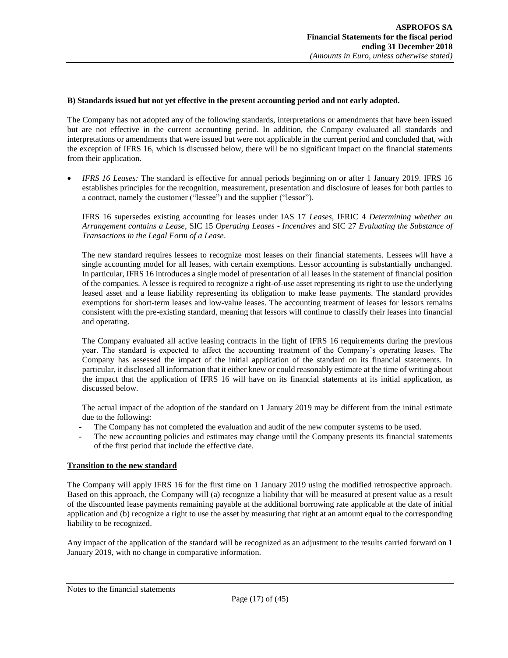#### **B) Standards issued but not yet effective in the present accounting period and not early adopted.**

The Company has not adopted any of the following standards, interpretations or amendments that have been issued but are not effective in the current accounting period. In addition, the Company evaluated all standards and interpretations or amendments that were issued but were not applicable in the current period and concluded that, with the exception of IFRS 16, which is discussed below, there will be no significant impact on the financial statements from their application.

 *IFRS 16 Leases:* The standard is effective for annual periods beginning on or after 1 January 2019. IFRS 16 establishes principles for the recognition, measurement, presentation and disclosure of leases for both parties to a contract, namely the customer ("lessee") and the supplier ("lessor").

IFRS 16 supersedes existing accounting for leases under IAS 17 *Leases*, IFRIC 4 *Determining whether an Arrangement contains a Lease*, SIC 15 *Operating Leases - Incentives* and SIC 27 *Evaluating the Substance of Transactions in the Legal Form of a Lease*.

The new standard requires lessees to recognize most leases on their financial statements. Lessees will have a single accounting model for all leases, with certain exemptions. Lessor accounting is substantially unchanged. In particular, IFRS 16 introduces a single model of presentation of all leases in the statement of financial position of the companies. A lessee is required to recognize a right-of-use asset representing its right to use the underlying leased asset and a lease liability representing its obligation to make lease payments. The standard provides exemptions for short-term leases and low-value leases. The accounting treatment of leases for lessors remains consistent with the pre-existing standard, meaning that lessors will continue to classify their leases into financial and operating.

The Company evaluated all active leasing contracts in the light of IFRS 16 requirements during the previous year. The standard is expected to affect the accounting treatment of the Company's operating leases. The Company has assessed the impact of the initial application of the standard on its financial statements. In particular, it disclosed all information that it either knew or could reasonably estimate at the time of writing about the impact that the application of IFRS 16 will have on its financial statements at its initial application, as discussed below.

The actual impact of the adoption of the standard on 1 January 2019 may be different from the initial estimate due to the following:

- *-* The Company has not completed the evaluation and audit of the new computer systems to be used.
- *-* The new accounting policies and estimates may change until the Company presents its financial statements of the first period that include the effective date.

## **Transition to the new standard**

The Company will apply IFRS 16 for the first time on 1 January 2019 using the modified retrospective approach. Based on this approach, the Company will (a) recognize a liability that will be measured at present value as a result of the discounted lease payments remaining payable at the additional borrowing rate applicable at the date of initial application and (b) recognize a right to use the asset by measuring that right at an amount equal to the corresponding liability to be recognized.

Any impact of the application of the standard will be recognized as an adjustment to the results carried forward on 1 January 2019, with no change in comparative information.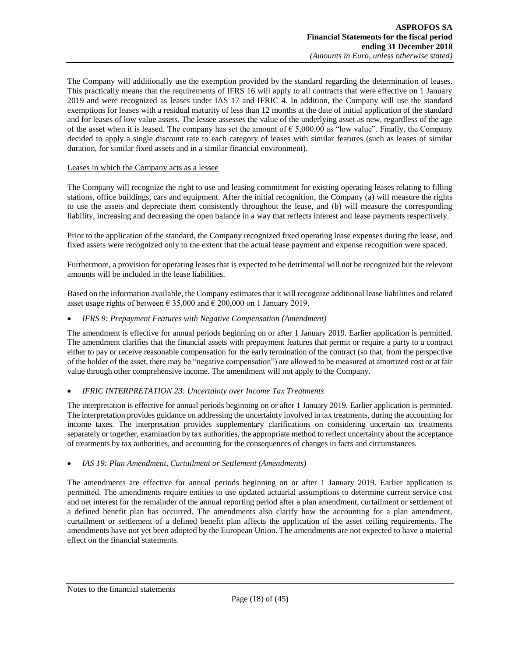The Company will additionally use the exemption provided by the standard regarding the determination of leases. This practically means that the requirements of IFRS 16 will apply to all contracts that were effective on 1 January 2019 and were recognized as leases under IAS 17 and IFRIC 4. In addition, the Company will use the standard exemptions for leases with a residual maturity of less than 12 months at the date of initial application of the standard and for leases of low value assets. The lessee assesses the value of the underlying asset as new, regardless of the age of the asset when it is leased. The company has set the amount of  $\epsilon$  5,000.00 as "low value". Finally, the Company decided to apply a single discount rate to each category of leases with similar features (such as leases of similar duration, for similar fixed assets and in a similar financial environment).

#### Leases in which the Company acts as a lessee

The Company will recognize the right to use and leasing commitment for existing operating leases relating to filling stations, office buildings, cars and equipment. After the initial recognition, the Company (a) will measure the rights to use the assets and depreciate them consistently throughout the lease, and (b) will measure the corresponding liability, increasing and decreasing the open balance in a way that reflects interest and lease payments respectively.

Prior to the application of the standard, the Company recognized fixed operating lease expenses during the lease, and fixed assets were recognized only to the extent that the actual lease payment and expense recognition were spaced.

Furthermore, a provision for operating leases that is expected to be detrimental will not be recognized but the relevant amounts will be included in the lease liabilities.

Based on the information available, the Company estimates that it will recognize additional lease liabilities and related asset usage rights of between  $\epsilon$  35,000 and  $\epsilon$  200,000 on 1 January 2019.

#### *IFRS 9: Prepayment Features with Negative Compensation (Amendment)*

The amendment is effective for annual periods beginning on or after 1 January 2019. Earlier application is permitted. The amendment clarifies that the financial assets with prepayment features that permit or require a party to a contract either to pay or receive reasonable compensation for the early termination of the contract (so that, from the perspective of the holder of the asset, there may be "negative compensation") are allowed to be measured at amortized cost or at fair value through other comprehensive income. The amendment will not apply to the Company.

#### *IFRIC INTERPRETATION 23: Uncertainty over Income Tax Treatments*

The interpretation is effective for annual periods beginning on or after 1 January 2019. Earlier application is permitted. The interpretation provides guidance on addressing the uncertainty involved in tax treatments, during the accounting for income taxes. The interpretation provides supplementary clarifications on considering uncertain tax treatments separately or together, examination by tax authorities, the appropriate method to reflect uncertainty about the acceptance of treatments by tax authorities, and accounting for the consequences of changes in facts and circumstances.

#### *IAS 19: Plan Amendment, Curtailment or Settlement (Amendments)*

The amendments are effective for annual periods beginning on or after 1 January 2019. Earlier application is permitted. The amendments require entities to use updated actuarial assumptions to determine current service cost and net interest for the remainder of the annual reporting period after a plan amendment, curtailment or settlement of a defined benefit plan has occurred. The amendments also clarify how the accounting for a plan amendment, curtailment or settlement of a defined benefit plan affects the application of the asset ceiling requirements. The amendments have not yet been adopted by the European Union. The amendments are not expected to have a material effect on the financial statements.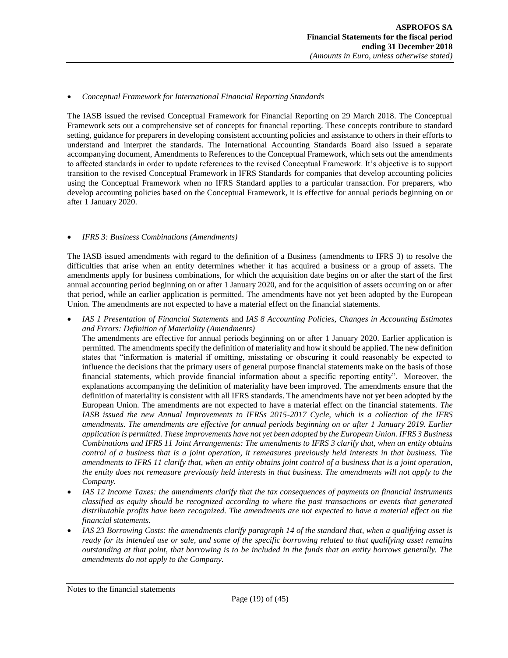#### *Conceptual Framework for International Financial Reporting Standards*

The IASB issued the revised Conceptual Framework for Financial Reporting on 29 March 2018. The Conceptual Framework sets out a comprehensive set of concepts for financial reporting. These concepts contribute to standard setting, guidance for preparers in developing consistent accounting policies and assistance to others in their efforts to understand and interpret the standards. The International Accounting Standards Board also issued a separate accompanying document, Amendments to References to the Conceptual Framework, which sets out the amendments to affected standards in order to update references to the revised Conceptual Framework. It's objective is to support transition to the revised Conceptual Framework in IFRS Standards for companies that develop accounting policies using the Conceptual Framework when no IFRS Standard applies to a particular transaction. For preparers, who develop accounting policies based on the Conceptual Framework, it is effective for annual periods beginning on or after 1 January 2020.

#### *IFRS 3: Business Combinations (Amendments)*

The IASB issued amendments with regard to the definition of a Business (amendments to IFRS 3) to resolve the difficulties that arise when an entity determines whether it has acquired a business or a group of assets. The amendments apply for business combinations, for which the acquisition date begins on or after the start of the first annual accounting period beginning on or after 1 January 2020, and for the acquisition of assets occurring on or after that period, while an earlier application is permitted. The amendments have not yet been adopted by the European Union. The amendments are not expected to have a material effect on the financial statements.

 *IAS 1 Presentation of Financial Statements* and *IAS 8 Accounting Policies, Changes in Accounting Estimates and Errors: Definition of Materiality (Amendments)*

The amendments are effective for annual periods beginning on or after 1 January 2020. Earlier application is permitted. The amendments specify the definition of materiality and how it should be applied. The new definition states that "information is material if omitting, misstating or obscuring it could reasonably be expected to influence the decisions that the primary users of general purpose financial statements make on the basis of those financial statements, which provide financial information about a specific reporting entity". Moreover, the explanations accompanying the definition of materiality have been improved. The amendments ensure that the definition of materiality is consistent with all IFRS standards. The amendments have not yet been adopted by the European Union. The amendments are not expected to have a material effect on the financial statements. *The IASB issued the new Annual Improvements to IFRSs 2015-2017 Cycle, which is a collection of the IFRS amendments. The amendments are effective for annual periods beginning on or after 1 January 2019. Earlier application is permitted. These improvements have not yet been adopted by the European Union. IFRS 3 Business Combinations and IFRS 11 Joint Arrangements: The amendments to IFRS 3 clarify that, when an entity obtains control of a business that is a joint operation, it remeasures previously held interests in that business. The amendments to IFRS 11 clarify that, when an entity obtains joint control of a business that is a joint operation, the entity does not remeasure previously held interests in that business. The amendments will not apply to the Company.*

- *IAS 12 Income Taxes: the amendments clarify that the tax consequences of payments on financial instruments classified as equity should be recognized according to where the past transactions or events that generated distributable profits have been recognized. The amendments are not expected to have a material effect on the financial statements.*
- *IAS 23 Borrowing Costs: the amendments clarify paragraph 14 of the standard that, when a qualifying asset is ready for its intended use or sale, and some of the specific borrowing related to that qualifying asset remains outstanding at that point, that borrowing is to be included in the funds that an entity borrows generally. The amendments do not apply to the Company.*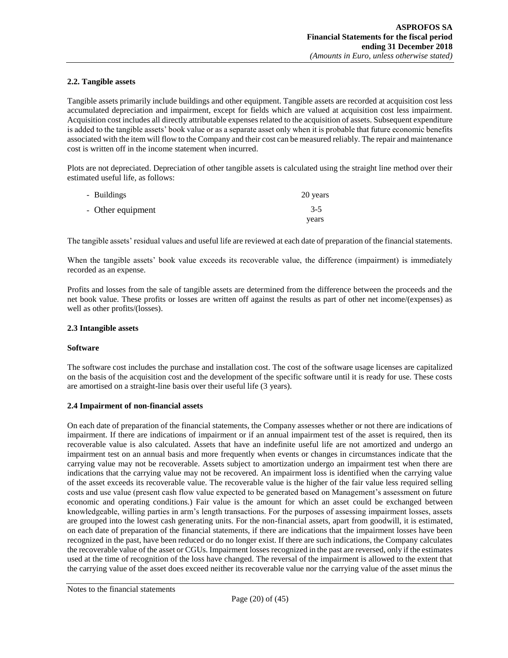#### <span id="page-19-0"></span>**2.2. Tangible assets**

Tangible assets primarily include buildings and other equipment. Tangible assets are recorded at acquisition cost less accumulated depreciation and impairment, except for fields which are valued at acquisition cost less impairment. Acquisition cost includes all directly attributable expenses related to the acquisition of assets. Subsequent expenditure is added to the tangible assets' book value or as a separate asset only when it is probable that future economic benefits associated with the item will flow to the Company and their cost can be measured reliably. The repair and maintenance cost is written off in the income statement when incurred.

Plots are not depreciated. Depreciation of other tangible assets is calculated using the straight line method over their estimated useful life, as follows:

| - Buildings       | 20 years |
|-------------------|----------|
| - Other equipment | $3-5$    |
|                   | years    |

The tangible assets' residual values and useful life are reviewed at each date of preparation of the financial statements.

When the tangible assets' book value exceeds its recoverable value, the difference (impairment) is immediately recorded as an expense.

Profits and losses from the sale of tangible assets are determined from the difference between the proceeds and the net book value. These profits or losses are written off against the results as part of other net income/(expenses) as well as other profits/(losses).

#### <span id="page-19-1"></span>**2.3 Intangible assets**

#### **Software**

The software cost includes the purchase and installation cost. The cost of the software usage licenses are capitalized on the basis of the acquisition cost and the development of the specific software until it is ready for use. These costs are amortised on a straight-line basis over their useful life (3 years).

#### <span id="page-19-2"></span>**2.4 Impairment of non-financial assets**

On each date of preparation of the financial statements, the Company assesses whether or not there are indications of impairment. If there are indications of impairment or if an annual impairment test of the asset is required, then its recoverable value is also calculated. Assets that have an indefinite useful life are not amortized and undergo an impairment test on an annual basis and more frequently when events or changes in circumstances indicate that the carrying value may not be recoverable. Assets subject to amortization undergo an impairment test when there are indications that the carrying value may not be recovered. An impairment loss is identified when the carrying value of the asset exceeds its recoverable value. The recoverable value is the higher of the fair value less required selling costs and use value (present cash flow value expected to be generated based on Management's assessment on future economic and operating conditions.) Fair value is the amount for which an asset could be exchanged between knowledgeable, willing parties in arm's length transactions. For the purposes of assessing impairment losses, assets are grouped into the lowest cash generating units. For the non-financial assets, apart from goodwill, it is estimated, on each date of preparation of the financial statements, if there are indications that the impairment losses have been recognized in the past, have been reduced or do no longer exist. If there are such indications, the Company calculates the recoverable value of the asset or CGUs. Impairment losses recognized in the past are reversed, only if the estimates used at the time of recognition of the loss have changed. The reversal of the impairment is allowed to the extent that the carrying value of the asset does exceed neither its recoverable value nor the carrying value of the asset minus the

Notes to the financial statements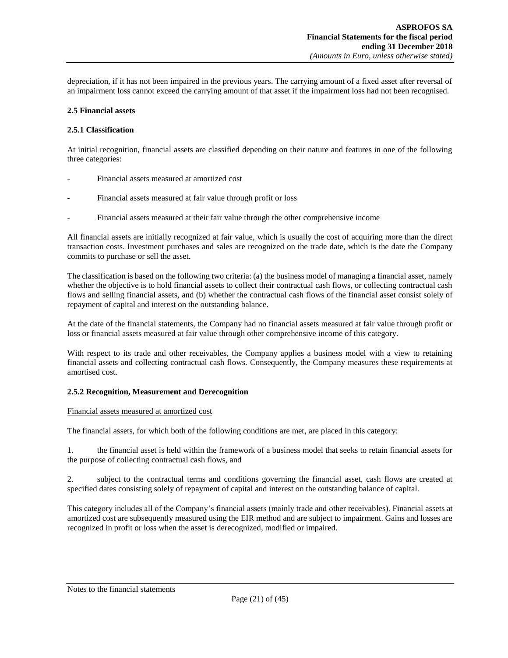depreciation, if it has not been impaired in the previous years. The carrying amount of a fixed asset after reversal of an impairment loss cannot exceed the carrying amount of that asset if the impairment loss had not been recognised.

#### <span id="page-20-0"></span>**2.5 Financial assets**

### **2.5.1 Classification**

At initial recognition, financial assets are classified depending on their nature and features in one of the following three categories:

- Financial assets measured at amortized cost
- Financial assets measured at fair value through profit or loss
- Financial assets measured at their fair value through the other comprehensive income

All financial assets are initially recognized at fair value, which is usually the cost of acquiring more than the direct transaction costs. Investment purchases and sales are recognized on the trade date, which is the date the Company commits to purchase or sell the asset.

The classification is based on the following two criteria: (a) the business model of managing a financial asset, namely whether the objective is to hold financial assets to collect their contractual cash flows, or collecting contractual cash flows and selling financial assets, and (b) whether the contractual cash flows of the financial asset consist solely of repayment of capital and interest on the outstanding balance.

At the date of the financial statements, the Company had no financial assets measured at fair value through profit or loss or financial assets measured at fair value through other comprehensive income of this category.

With respect to its trade and other receivables, the Company applies a business model with a view to retaining financial assets and collecting contractual cash flows. Consequently, the Company measures these requirements at amortised cost.

#### **2.5.2 Recognition, Measurement and Derecognition**

#### Financial assets measured at amortized cost

The financial assets, for which both of the following conditions are met, are placed in this category:

1. the financial asset is held within the framework of a business model that seeks to retain financial assets for the purpose of collecting contractual cash flows, and

2. subject to the contractual terms and conditions governing the financial asset, cash flows are created at specified dates consisting solely of repayment of capital and interest on the outstanding balance of capital.

This category includes all of the Company's financial assets (mainly trade and other receivables). Financial assets at amortized cost are subsequently measured using the EIR method and are subject to impairment. Gains and losses are recognized in profit or loss when the asset is derecognized, modified or impaired.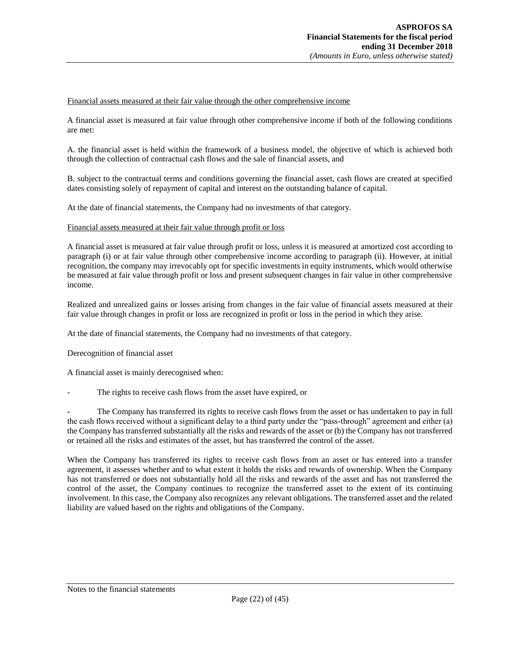### Financial assets measured at their fair value through the other comprehensive income

A financial asset is measured at fair value through other comprehensive income if both of the following conditions are met:

A. the financial asset is held within the framework of a business model, the objective of which is achieved both through the collection of contractual cash flows and the sale of financial assets, and

B. subject to the contractual terms and conditions governing the financial asset, cash flows are created at specified dates consisting solely of repayment of capital and interest on the outstanding balance of capital.

At the date of financial statements, the Company had no investments of that category.

#### Financial assets measured at their fair value through profit or loss

A financial asset is measured at fair value through profit or loss, unless it is measured at amortized cost according to paragraph (i) or at fair value through other comprehensive income according to paragraph (ii). However, at initial recognition, the company may irrevocably opt for specific investments in equity instruments, which would otherwise be measured at fair value through profit or loss and present subsequent changes in fair value in other comprehensive income.

Realized and unrealized gains or losses arising from changes in the fair value of financial assets measured at their fair value through changes in profit or loss are recognized in profit or loss in the period in which they arise.

At the date of financial statements, the Company had no investments of that category.

Derecognition of financial asset

A financial asset is mainly derecognised when:

The rights to receive cash flows from the asset have expired, or

The Company has transferred its rights to receive cash flows from the asset or has undertaken to pay in full the cash flows received without a significant delay to a third party under the "pass-through" agreement and either (a) the Company has transferred substantially all the risks and rewards of the asset or (b) the Company has not transferred or retained all the risks and estimates of the asset, but has transferred the control of the asset.

When the Company has transferred its rights to receive cash flows from an asset or has entered into a transfer agreement, it assesses whether and to what extent it holds the risks and rewards of ownership. When the Company has not transferred or does not substantially hold all the risks and rewards of the asset and has not transferred the control of the asset, the Company continues to recognize the transferred asset to the extent of its continuing involvement. In this case, the Company also recognizes any relevant obligations. The transferred asset and the related liability are valued based on the rights and obligations of the Company.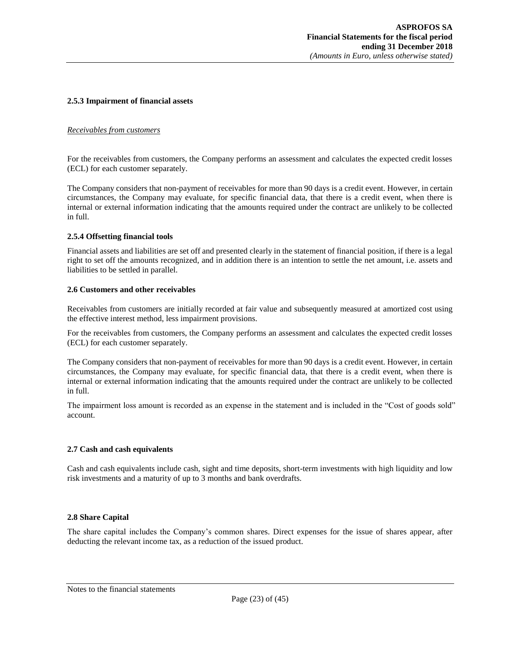#### **2.5.3 Impairment of financial assets**

#### *Receivables from customers*

For the receivables from customers, the Company performs an assessment and calculates the expected credit losses (ECL) for each customer separately.

The Company considers that non-payment of receivables for more than 90 days is a credit event. However, in certain circumstances, the Company may evaluate, for specific financial data, that there is a credit event, when there is internal or external information indicating that the amounts required under the contract are unlikely to be collected in full.

#### **2.5.4 Offsetting financial tools**

Financial assets and liabilities are set off and presented clearly in the statement of financial position, if there is a legal right to set off the amounts recognized, and in addition there is an intention to settle the net amount, i.e. assets and liabilities to be settled in parallel.

#### <span id="page-22-0"></span>**2.6 Customers and other receivables**

Receivables from customers are initially recorded at fair value and subsequently measured at amortized cost using the effective interest method, less impairment provisions.

For the receivables from customers, the Company performs an assessment and calculates the expected credit losses (ECL) for each customer separately.

The Company considers that non-payment of receivables for more than 90 days is a credit event. However, in certain circumstances, the Company may evaluate, for specific financial data, that there is a credit event, when there is internal or external information indicating that the amounts required under the contract are unlikely to be collected in full.

The impairment loss amount is recorded as an expense in the statement and is included in the "Cost of goods sold" account.

#### <span id="page-22-1"></span>**2.7 Cash and cash equivalents**

Cash and cash equivalents include cash, sight and time deposits, short-term investments with high liquidity and low risk investments and a maturity of up to 3 months and bank overdrafts.

#### <span id="page-22-2"></span>**2.8 Share Capital**

The share capital includes the Company's common shares. Direct expenses for the issue of shares appear, after deducting the relevant income tax, as a reduction of the issued product.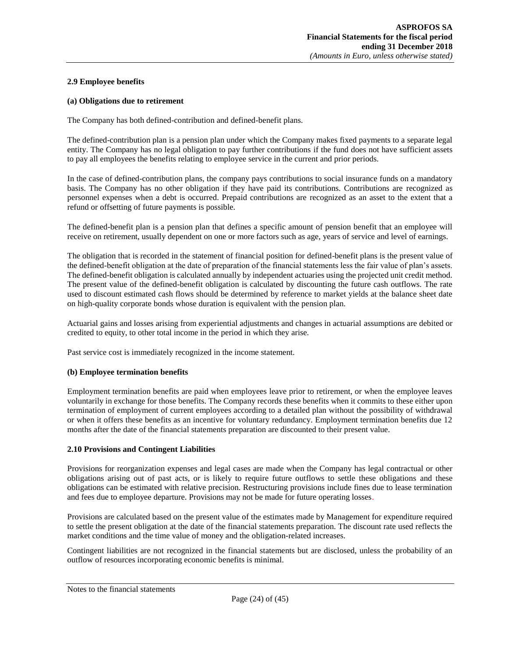#### <span id="page-23-0"></span>**2.9 Employee benefits**

#### **(a) Obligations due to retirement**

The Company has both defined-contribution and defined-benefit plans.

The defined-contribution plan is a pension plan under which the Company makes fixed payments to a separate legal entity. The Company has no legal obligation to pay further contributions if the fund does not have sufficient assets to pay all employees the benefits relating to employee service in the current and prior periods.

In the case of defined-contribution plans, the company pays contributions to social insurance funds on a mandatory basis. The Company has no other obligation if they have paid its contributions. Contributions are recognized as personnel expenses when a debt is occurred. Prepaid contributions are recognized as an asset to the extent that a refund or offsetting of future payments is possible.

The defined-benefit plan is a pension plan that defines a specific amount of pension benefit that an employee will receive on retirement, usually dependent on one or more factors such as age, years of service and level of earnings.

The obligation that is recorded in the statement of financial position for defined-benefit plans is the present value of the defined-benefit obligation at the date of preparation of the financial statements less the fair value of plan's assets. The defined-benefit obligation is calculated annually by independent actuaries using the projected unit credit method. The present value of the defined-benefit obligation is calculated by discounting the future cash outflows. The rate used to discount estimated cash flows should be determined by reference to market yields at the balance sheet date on high-quality corporate bonds whose duration is equivalent with the pension plan.

Actuarial gains and losses arising from experiential adjustments and changes in actuarial assumptions are debited or credited to equity, to other total income in the period in which they arise.

Past service cost is immediately recognized in the income statement.

#### **(b) Employee termination benefits**

Employment termination benefits are paid when employees leave prior to retirement, or when the employee leaves voluntarily in exchange for those benefits. The Company records these benefits when it commits to these either upon termination of employment of current employees according to a detailed plan without the possibility of withdrawal or when it offers these benefits as an incentive for voluntary redundancy. Employment termination benefits due 12 months after the date of the financial statements preparation are discounted to their present value.

#### <span id="page-23-1"></span>**2.10 Provisions and Contingent Liabilities**

Provisions for reorganization expenses and legal cases are made when the Company has legal contractual or other obligations arising out of past acts, or is likely to require future outflows to settle these obligations and these obligations can be estimated with relative precision. Restructuring provisions include fines due to lease termination and fees due to employee departure. Provisions may not be made for future operating losses.

Provisions are calculated based on the present value of the estimates made by Management for expenditure required to settle the present obligation at the date of the financial statements preparation. The discount rate used reflects the market conditions and the time value of money and the obligation-related increases.

Contingent liabilities are not recognized in the financial statements but are disclosed, unless the probability of an outflow of resources incorporating economic benefits is minimal.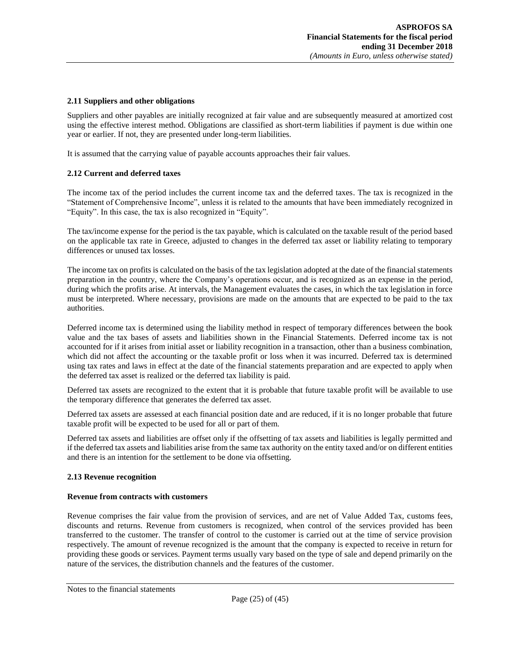#### <span id="page-24-0"></span>**2.11 Suppliers and other obligations**

Suppliers and other payables are initially recognized at fair value and are subsequently measured at amortized cost using the effective interest method. Obligations are classified as short-term liabilities if payment is due within one year or earlier. If not, they are presented under long-term liabilities.

<span id="page-24-1"></span>It is assumed that the carrying value of payable accounts approaches their fair values.

#### **2.12 Current and deferred taxes**

The income tax of the period includes the current income tax and the deferred taxes. The tax is recognized in the "Statement of Comprehensive Income", unless it is related to the amounts that have been immediately recognized in "Equity". In this case, the tax is also recognized in "Equity".

The tax/income expense for the period is the tax payable, which is calculated on the taxable result of the period based on the applicable tax rate in Greece, adjusted to changes in the deferred tax asset or liability relating to temporary differences or unused tax losses.

The income tax on profits is calculated on the basis of the tax legislation adopted at the date of the financial statements preparation in the country, where the Company's operations occur, and is recognized as an expense in the period, during which the profits arise. At intervals, the Management evaluates the cases, in which the tax legislation in force must be interpreted. Where necessary, provisions are made on the amounts that are expected to be paid to the tax authorities.

Deferred income tax is determined using the liability method in respect of temporary differences between the book value and the tax bases of assets and liabilities shown in the Financial Statements. Deferred income tax is not accounted for if it arises from initial asset or liability recognition in a transaction, other than a business combination, which did not affect the accounting or the taxable profit or loss when it was incurred. Deferred tax is determined using tax rates and laws in effect at the date of the financial statements preparation and are expected to apply when the deferred tax asset is realized or the deferred tax liability is paid.

Deferred tax assets are recognized to the extent that it is probable that future taxable profit will be available to use the temporary difference that generates the deferred tax asset.

Deferred tax assets are assessed at each financial position date and are reduced, if it is no longer probable that future taxable profit will be expected to be used for all or part of them.

Deferred tax assets and liabilities are offset only if the offsetting of tax assets and liabilities is legally permitted and if the deferred tax assets and liabilities arise from the same tax authority on the entity taxed and/or on different entities and there is an intention for the settlement to be done via offsetting.

#### <span id="page-24-2"></span>**2.13 Revenue recognition**

#### **Revenue from contracts with customers**

Revenue comprises the fair value from the provision of services, and are net of Value Added Tax, customs fees, discounts and returns. Revenue from customers is recognized, when control of the services provided has been transferred to the customer. The transfer of control to the customer is carried out at the time of service provision respectively. The amount of revenue recognized is the amount that the company is expected to receive in return for providing these goods or services. Payment terms usually vary based on the type of sale and depend primarily on the nature of the services, the distribution channels and the features of the customer.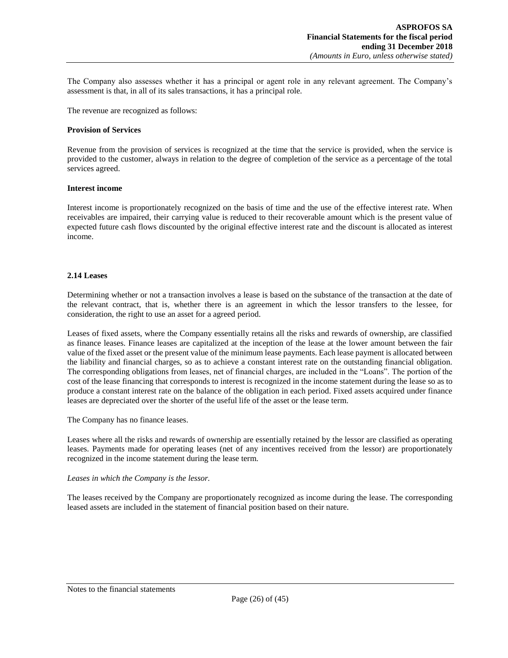The Company also assesses whether it has a principal or agent role in any relevant agreement. The Company's assessment is that, in all of its sales transactions, it has a principal role.

The revenue are recognized as follows:

#### **Provision of Services**

Revenue from the provision of services is recognized at the time that the service is provided, when the service is provided to the customer, always in relation to the degree of completion of the service as a percentage of the total services agreed.

#### **Interest income**

Interest income is proportionately recognized on the basis of time and the use of the effective interest rate. When receivables are impaired, their carrying value is reduced to their recoverable amount which is the present value of expected future cash flows discounted by the original effective interest rate and the discount is allocated as interest income.

#### <span id="page-25-0"></span>**2.14 Leases**

Determining whether or not a transaction involves a lease is based on the substance of the transaction at the date of the relevant contract, that is, whether there is an agreement in which the lessor transfers to the lessee, for consideration, the right to use an asset for a agreed period.

Leases of fixed assets, where the Company essentially retains all the risks and rewards of ownership, are classified as finance leases. Finance leases are capitalized at the inception of the lease at the lower amount between the fair value of the fixed asset or the present value of the minimum lease payments. Each lease payment is allocated between the liability and financial charges, so as to achieve a constant interest rate on the outstanding financial obligation. The corresponding obligations from leases, net of financial charges, are included in the "Loans". The portion of the cost of the lease financing that corresponds to interest is recognized in the income statement during the lease so as to produce a constant interest rate on the balance of the obligation in each period. Fixed assets acquired under finance leases are depreciated over the shorter of the useful life of the asset or the lease term.

The Company has no finance leases.

Leases where all the risks and rewards of ownership are essentially retained by the lessor are classified as operating leases. Payments made for operating leases (net of any incentives received from the lessor) are proportionately recognized in the income statement during the lease term.

#### *Leases in which the Company is the lessor.*

The leases received by the Company are proportionately recognized as income during the lease. The corresponding leased assets are included in the statement of financial position based on their nature.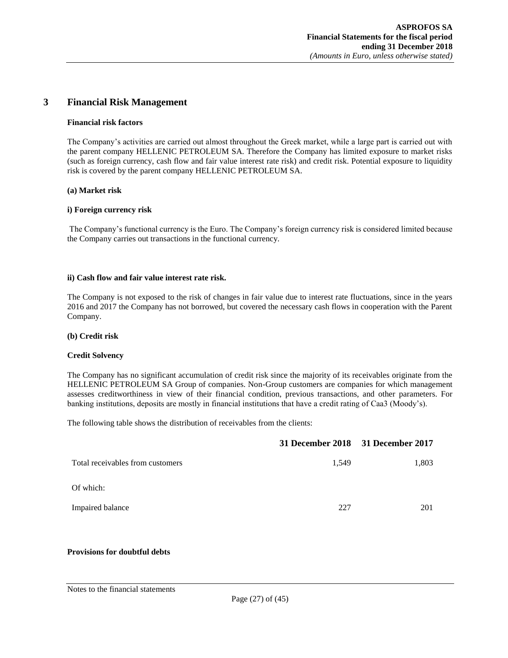# <span id="page-26-0"></span>**3 Financial Risk Management**

#### **Financial risk factors**

The Company's activities are carried out almost throughout the Greek market, while a large part is carried out with the parent company HELLENIC PETROLEUM SA. Therefore the Company has limited exposure to market risks (such as foreign currency, cash flow and fair value interest rate risk) and credit risk. Potential exposure to liquidity risk is covered by the parent company HELLENIC PETROLEUM SA.

#### **(a) Market risk**

#### **i) Foreign currency risk**

The Company's functional currency is the Euro. The Company's foreign currency risk is considered limited because the Company carries out transactions in the functional currency.

#### **ii) Cash flow and fair value interest rate risk.**

The Company is not exposed to the risk of changes in fair value due to interest rate fluctuations, since in the years 2016 and 2017 the Company has not borrowed, but covered the necessary cash flows in cooperation with the Parent Company.

#### **(b) Credit risk**

#### **Credit Solvency**

The Company has no significant accumulation of credit risk since the majority of its receivables originate from the HELLENIC PETROLEUM SA Group of companies. Non-Group customers are companies for which management assesses creditworthiness in view of their financial condition, previous transactions, and other parameters. For banking institutions, deposits are mostly in financial institutions that have a credit rating of Caa3 (Moody's).

The following table shows the distribution of receivables from the clients:

|                                  |       | 31 December 2018 31 December 2017 |
|----------------------------------|-------|-----------------------------------|
| Total receivables from customers | 1,549 | 1,803                             |
| Of which:                        |       |                                   |
| Impaired balance                 | 227   | 201                               |

#### **Provisions for doubtful debts**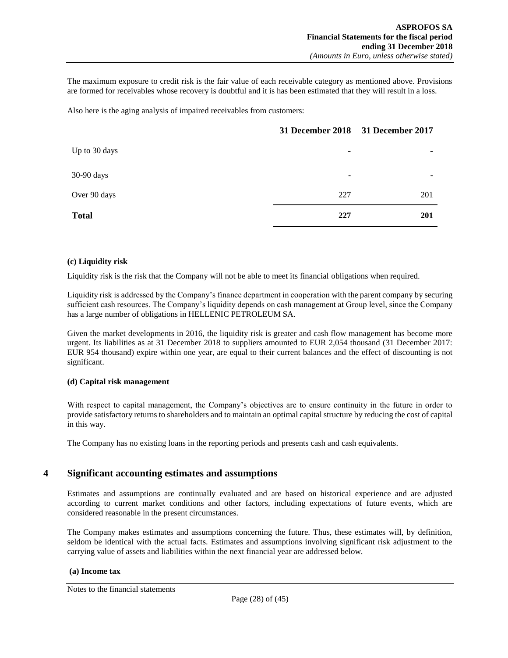The maximum exposure to credit risk is the fair value of each receivable category as mentioned above. Provisions are formed for receivables whose recovery is doubtful and it is has been estimated that they will result in a loss.

Also here is the aging analysis of impaired receivables from customers:

|               | 31 December 2018 31 December 2017 |     |
|---------------|-----------------------------------|-----|
| Up to 30 days | $\overline{\phantom{a}}$          | -   |
| 30-90 days    | -                                 | ۰   |
| Over 90 days  | 227                               | 201 |
| <b>Total</b>  | 227                               | 201 |

#### **(c) Liquidity risk**

Liquidity risk is the risk that the Company will not be able to meet its financial obligations when required.

Liquidity risk is addressed by the Company's finance department in cooperation with the parent company by securing sufficient cash resources. The Company's liquidity depends on cash management at Group level, since the Company has a large number of obligations in HELLENIC PETROLEUM SA.

Given the market developments in 2016, the liquidity risk is greater and cash flow management has become more urgent. Its liabilities as at 31 December 2018 to suppliers amounted to EUR 2,054 thousand (31 December 2017: EUR 954 thousand) expire within one year, are equal to their current balances and the effect of discounting is not significant.

#### **(d) Capital risk management**

With respect to capital management, the Company's objectives are to ensure continuity in the future in order to provide satisfactory returns to shareholders and to maintain an optimal capital structure by reducing the cost of capital in this way.

<span id="page-27-0"></span>The Company has no existing loans in the reporting periods and presents cash and cash equivalents.

## **4 Significant accounting estimates and assumptions**

Estimates and assumptions are continually evaluated and are based on historical experience and are adjusted according to current market conditions and other factors, including expectations of future events, which are considered reasonable in the present circumstances.

The Company makes estimates and assumptions concerning the future. Thus, these estimates will, by definition, seldom be identical with the actual facts. Estimates and assumptions involving significant risk adjustment to the carrying value of assets and liabilities within the next financial year are addressed below.

#### **(a) Income tax**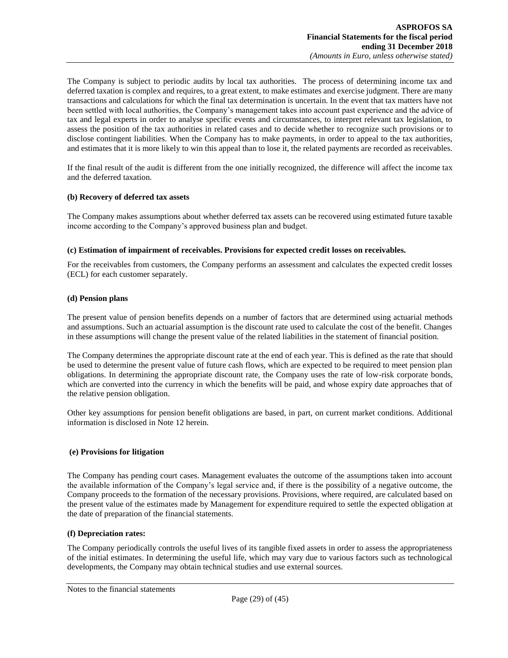The Company is subject to periodic audits by local tax authorities. The process of determining income tax and deferred taxation is complex and requires, to a great extent, to make estimates and exercise judgment. There are many transactions and calculations for which the final tax determination is uncertain. In the event that tax matters have not been settled with local authorities, the Company's management takes into account past experience and the advice of tax and legal experts in order to analyse specific events and circumstances, to interpret relevant tax legislation, to assess the position of the tax authorities in related cases and to decide whether to recognize such provisions or to disclose contingent liabilities. When the Company has to make payments, in order to appeal to the tax authorities, and estimates that it is more likely to win this appeal than to lose it, the related payments are recorded as receivables.

If the final result of the audit is different from the one initially recognized, the difference will affect the income tax and the deferred taxation.

#### **(b) Recovery of deferred tax assets**

The Company makes assumptions about whether deferred tax assets can be recovered using estimated future taxable income according to the Company's approved business plan and budget.

#### **(c) Estimation of impairment of receivables. Provisions for expected credit losses on receivables.**

For the receivables from customers, the Company performs an assessment and calculates the expected credit losses (ECL) for each customer separately.

#### **(d) Pension plans**

The present value of pension benefits depends on a number of factors that are determined using actuarial methods and assumptions. Such an actuarial assumption is the discount rate used to calculate the cost of the benefit. Changes in these assumptions will change the present value of the related liabilities in the statement of financial position.

The Company determines the appropriate discount rate at the end of each year. This is defined as the rate that should be used to determine the present value of future cash flows, which are expected to be required to meet pension plan obligations. In determining the appropriate discount rate, the Company uses the rate of low-risk corporate bonds, which are converted into the currency in which the benefits will be paid, and whose expiry date approaches that of the relative pension obligation.

Other key assumptions for pension benefit obligations are based, in part, on current market conditions. Additional information is disclosed in Note 12 herein.

#### **(e) Provisions for litigation**

The Company has pending court cases. Management evaluates the outcome of the assumptions taken into account the available information of the Company's legal service and, if there is the possibility of a negative outcome, the Company proceeds to the formation of the necessary provisions. Provisions, where required, are calculated based on the present value of the estimates made by Management for expenditure required to settle the expected obligation at the date of preparation of the financial statements.

#### **(f) Depreciation rates:**

The Company periodically controls the useful lives of its tangible fixed assets in order to assess the appropriateness of the initial estimates. In determining the useful life, which may vary due to various factors such as technological developments, the Company may obtain technical studies and use external sources.

Notes to the financial statements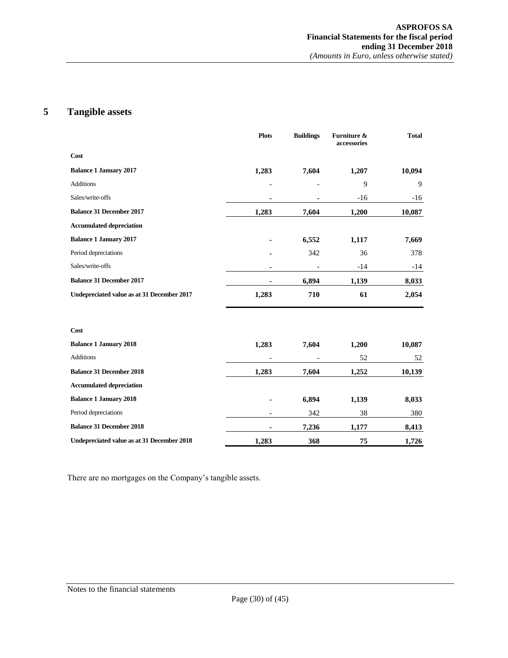# <span id="page-29-0"></span>**5 Tangible assets**

|                                            | <b>Plots</b>   | <b>Buildings</b> | Furniture &<br>accessories | <b>Total</b> |
|--------------------------------------------|----------------|------------------|----------------------------|--------------|
| Cost                                       |                |                  |                            |              |
| <b>Balance 1 January 2017</b>              | 1,283          | 7,604            | 1,207                      | 10,094       |
| <b>Additions</b>                           |                |                  | 9                          | 9            |
| Sales/write-offs                           |                |                  | $-16$                      | -16          |
| <b>Balance 31 December 2017</b>            | 1,283          | 7,604            | 1,200                      | 10,087       |
| <b>Accumulated depreciation</b>            |                |                  |                            |              |
| <b>Balance 1 January 2017</b>              |                | 6,552            | 1,117                      | 7,669        |
| Period depreciations                       |                | 342              | 36                         | 378          |
| Sales/write-offs                           |                |                  | $-14$                      | -14          |
| <b>Balance 31 December 2017</b>            |                | 6,894            | 1,139                      | 8,033        |
| Undepreciated value as at 31 December 2017 | 1,283          | 710              | 61                         | 2,054        |
| Cost                                       |                |                  |                            |              |
| <b>Balance 1 January 2018</b>              | 1,283          | 7,604            | 1,200                      | 10,087       |
| <b>Additions</b>                           |                |                  | 52                         | 52           |
| <b>Balance 31 December 2018</b>            | 1,283          | 7,604            | 1,252                      | 10,139       |
| <b>Accumulated depreciation</b>            |                |                  |                            |              |
| <b>Balance 1 January 2018</b>              |                | 6,894            | 1,139                      | 8,033        |
| Period depreciations                       | $\blacksquare$ | 342              | 38                         | 380          |
| <b>Balance 31 December 2018</b>            |                | 7,236            | 1,177                      | 8,413        |
| Undepreciated value as at 31 December 2018 | 1,283          | 368              | 75                         | 1,726        |

There are no mortgages on the Company's tangible assets.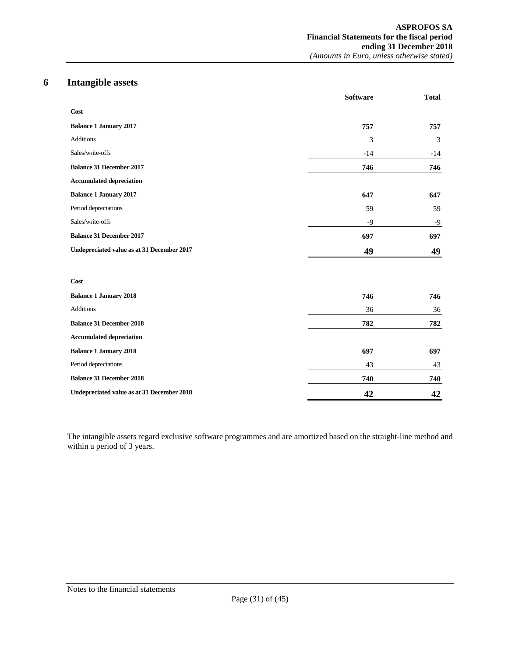# **6 Intangible assets**

<span id="page-30-0"></span>

|                                            | <b>Software</b> | <b>Total</b> |
|--------------------------------------------|-----------------|--------------|
| Cost                                       |                 |              |
| <b>Balance 1 January 2017</b>              | 757             | 757          |
| <b>Additions</b>                           | 3               | 3            |
| Sales/write-offs                           | $-14$           | $-14$        |
| <b>Balance 31 December 2017</b>            | 746             | 746          |
| <b>Accumulated depreciation</b>            |                 |              |
| <b>Balance 1 January 2017</b>              | 647             | 647          |
| Period depreciations                       | 59              | 59           |
| Sales/write-offs                           | $-9$            | $-9$         |
| <b>Balance 31 December 2017</b>            | 697             | 697          |
| Undepreciated value as at 31 December 2017 | 49              | 49           |
| Cost                                       |                 |              |
| <b>Balance 1 January 2018</b>              | 746             | 746          |
| <b>Additions</b>                           | 36              | 36           |
| <b>Balance 31 December 2018</b>            | 782             | 782          |
| <b>Accumulated depreciation</b>            |                 |              |
| <b>Balance 1 January 2018</b>              | 697             | 697          |
| Period depreciations                       | 43              | 43           |
| <b>Balance 31 December 2018</b>            | 740             | 740          |
| Undepreciated value as at 31 December 2018 | 42              | 42           |

The intangible assets regard exclusive software programmes and are amortized based on the straight-line method and within a period of 3 years.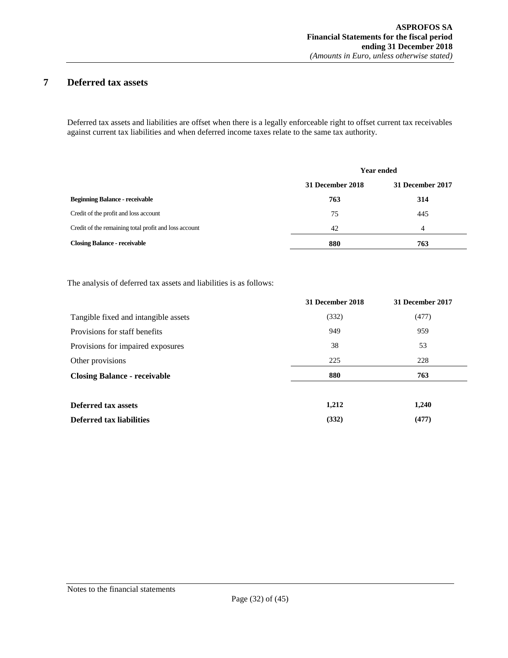# <span id="page-31-0"></span>**7 Deferred tax assets**

Deferred tax assets and liabilities are offset when there is a legally enforceable right to offset current tax receivables against current tax liabilities and when deferred income taxes relate to the same tax authority.

|                                                       | <b>Year ended</b> |                  |  |
|-------------------------------------------------------|-------------------|------------------|--|
|                                                       | 31 December 2018  | 31 December 2017 |  |
| <b>Beginning Balance - receivable</b>                 | 763               | 314              |  |
| Credit of the profit and loss account                 | 75                | 445              |  |
| Credit of the remaining total profit and loss account | 42                | $\overline{4}$   |  |
| <b>Closing Balance - receivable</b>                   | 880               | 763              |  |

The analysis of deferred tax assets and liabilities is as follows:

|                                      | 31 December 2018 | 31 December 2017 |
|--------------------------------------|------------------|------------------|
| Tangible fixed and intangible assets | (332)            | (477)            |
| Provisions for staff benefits        | 949              | 959              |
| Provisions for impaired exposures    | 38               | 53               |
| Other provisions                     | 225              | 228              |
| <b>Closing Balance - receivable</b>  | 880              | 763              |
|                                      |                  |                  |
| <b>Deferred tax assets</b>           | 1,212            | 1,240            |
| Deferred tax liabilities             | (332)            | (477)            |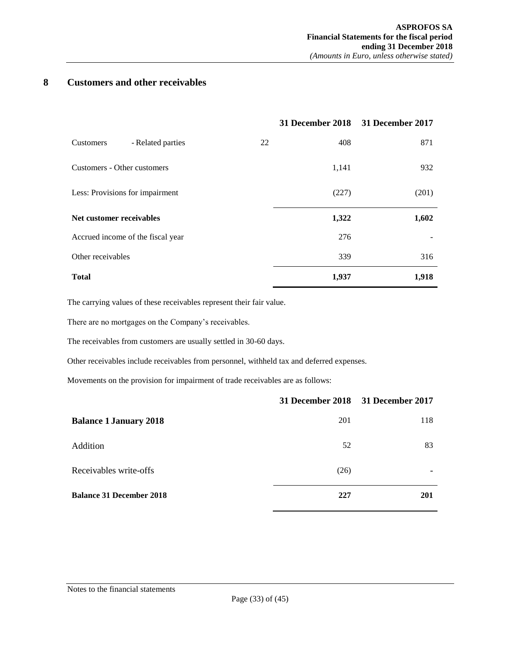# <span id="page-32-0"></span>**8 Customers and other receivables**

|                                   |    |       | 31 December 2018 31 December 2017 |
|-----------------------------------|----|-------|-----------------------------------|
| - Related parties<br>Customers    | 22 | 408   | 871                               |
| Customers - Other customers       |    | 1,141 | 932                               |
| Less: Provisions for impairment   |    | (227) | (201)                             |
| Net customer receivables          |    | 1,322 | 1,602                             |
| Accrued income of the fiscal year |    | 276   |                                   |
| Other receivables                 |    | 339   | 316                               |
| <b>Total</b>                      |    | 1,937 | 1,918                             |

The carrying values of these receivables represent their fair value.

There are no mortgages on the Company's receivables.

The receivables from customers are usually settled in 30-60 days.

Other receivables include receivables from personnel, withheld tax and deferred expenses.

Movements on the provision for impairment of trade receivables are as follows:

|                                 | 31 December 2018 31 December 2017 |     |
|---------------------------------|-----------------------------------|-----|
| <b>Balance 1 January 2018</b>   | 201                               | 118 |
| Addition                        | 52                                | 83  |
| Receivables write-offs          | (26)                              |     |
| <b>Balance 31 December 2018</b> | 227                               | 201 |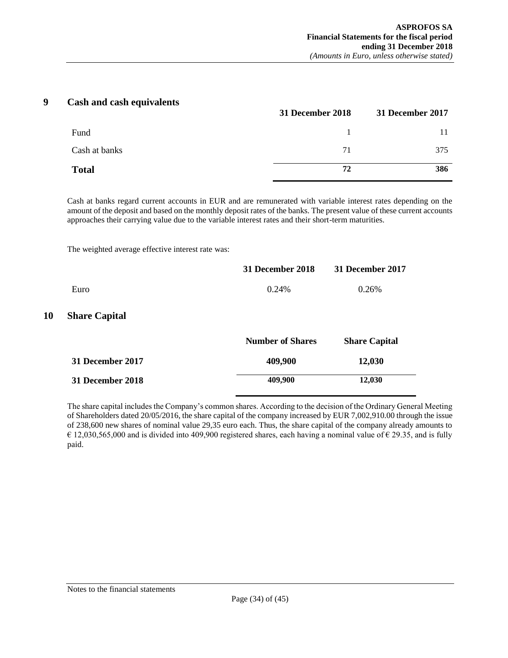## **9 Cash and cash equivalents**

<span id="page-33-0"></span>

|               | 31 December 2018 | 31 December 2017 |
|---------------|------------------|------------------|
| Fund          |                  |                  |
| Cash at banks | 71               | 375              |
| <b>Total</b>  | 72               | 386              |

Cash at banks regard current accounts in EUR and are remunerated with variable interest rates depending on the amount of the deposit and based on the monthly deposit rates of the banks. The present value of these current accounts approaches their carrying value due to the variable interest rates and their short-term maturities.

The weighted average effective interest rate was:

<span id="page-33-1"></span>

|    |                         | 31 December 2018        | <b>31 December 2017</b> |
|----|-------------------------|-------------------------|-------------------------|
|    | Euro                    | 0.24%                   | 0.26%                   |
| 10 | <b>Share Capital</b>    |                         |                         |
|    |                         | <b>Number of Shares</b> | <b>Share Capital</b>    |
|    | <b>31 December 2017</b> | 409,900                 | 12,030                  |
|    | 31 December 2018        | 409,900                 | 12,030                  |

The share capital includes the Company's common shares. According to the decision of the Ordinary General Meeting of Shareholders dated 20/05/2016, the share capital of the company increased by EUR 7,002,910.00 through the issue of 238,600 new shares of nominal value 29,35 euro each. Thus, the share capital of the company already amounts to  $\epsilon$  12,030,565,000 and is divided into 409,900 registered shares, each having a nominal value of  $\epsilon$  29.35, and is fully paid.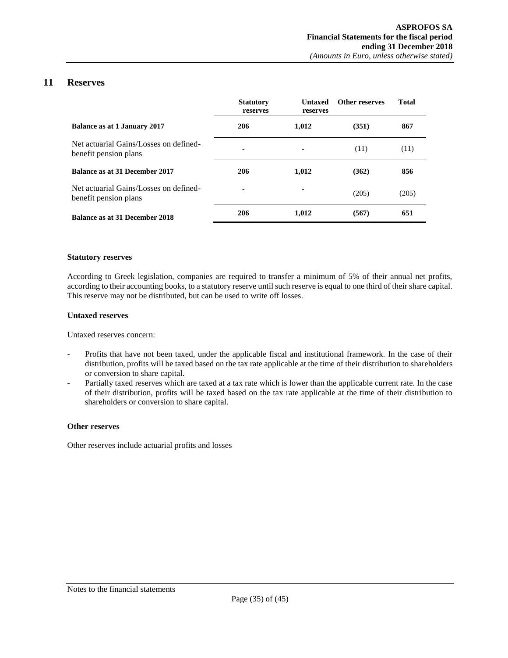# **11 Reserves**

<span id="page-34-0"></span>

|                                                                 | <b>Statutory</b><br>reserves | <b>Untaxed</b><br>reserves | Other reserves | <b>Total</b> |
|-----------------------------------------------------------------|------------------------------|----------------------------|----------------|--------------|
| Balance as at 1 January 2017                                    | 206                          | 1,012                      | (351)          | 867          |
| Net actuarial Gains/Losses on defined-<br>benefit pension plans | ٠                            |                            | (11)           | (11)         |
| <b>Balance as at 31 December 2017</b>                           | 206                          | 1,012                      | (362)          | 856          |
| Net actuarial Gains/Losses on defined-<br>benefit pension plans | ٠                            |                            | (205)          | (205)        |
| Balance as at 31 December 2018                                  | 206                          | 1.012                      | (567)          | 651          |

#### **Statutory reserves**

According to Greek legislation, companies are required to transfer a minimum of 5% of their annual net profits, according to their accounting books, to a statutory reserve until such reserve is equal to one third of their share capital. This reserve may not be distributed, but can be used to write off losses.

#### **Untaxed reserves**

Untaxed reserves concern:

- Profits that have not been taxed, under the applicable fiscal and institutional framework. In the case of their distribution, profits will be taxed based on the tax rate applicable at the time of their distribution to shareholders or conversion to share capital.
- Partially taxed reserves which are taxed at a tax rate which is lower than the applicable current rate. In the case of their distribution, profits will be taxed based on the tax rate applicable at the time of their distribution to shareholders or conversion to share capital.

#### **Other reserves**

Other reserves include actuarial profits and losses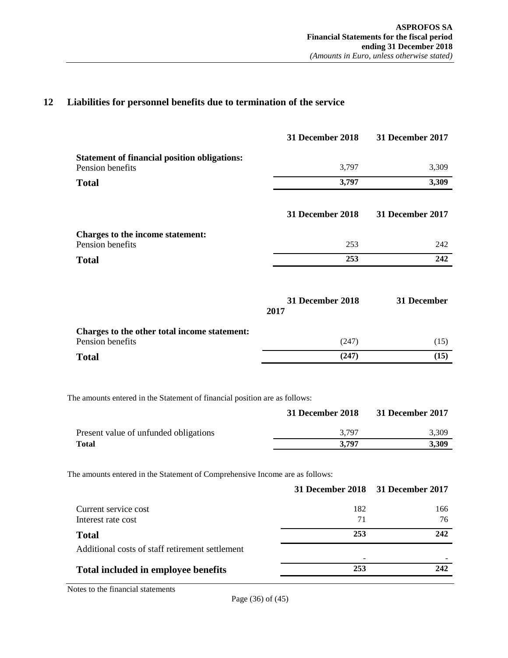# <span id="page-35-0"></span>**12 Liabilities for personnel benefits due to termination of the service**

|                                                                         | <b>31 December 2018</b>  | 31 December 2017        |
|-------------------------------------------------------------------------|--------------------------|-------------------------|
| <b>Statement of financial position obligations:</b><br>Pension benefits | 3,797                    | 3,309                   |
| <b>Total</b>                                                            | 3,797                    | 3,309                   |
|                                                                         | <b>31 December 2018</b>  | <b>31 December 2017</b> |
| Charges to the income statement:<br>Pension benefits                    | 253                      | 242                     |
| <b>Total</b>                                                            | 253                      | 242                     |
|                                                                         | 31 December 2018<br>2017 | 31 December             |
| Charges to the other total income statement:<br>Pension benefits        | (247)                    | (15)                    |
| <b>Total</b>                                                            | (247)                    | (15)                    |

The amounts entered in the Statement of financial position are as follows:

|                                       | 31 December 2018 | 31 December 2017 |
|---------------------------------------|------------------|------------------|
| Present value of unfunded obligations | 3.797            | 3.309            |
| <b>Total</b>                          | 3.797            | 3.309            |

The amounts entered in the Statement of Comprehensive Income are as follows:

|     | 31 December 2018 31 December 2017 |
|-----|-----------------------------------|
| 182 | 166                               |
| 71  | 76                                |
| 253 | 242                               |
|     |                                   |
| 253 | 242                               |
|     |                                   |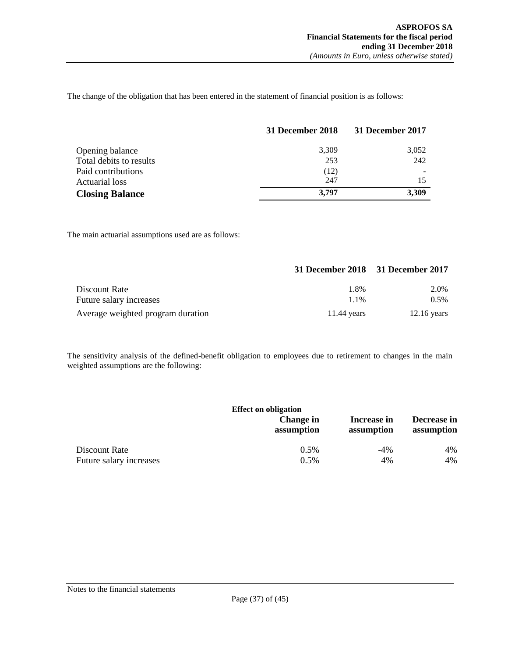The change of the obligation that has been entered in the statement of financial position is as follows:

|                         | 31 December 2018 | 31 December 2017 |
|-------------------------|------------------|------------------|
| Opening balance         | 3,309            | 3,052            |
| Total debits to results | 253              | 242              |
| Paid contributions      | (12)             |                  |
| Actuarial loss          | 247              |                  |
| <b>Closing Balance</b>  | 3,797            | 3,309            |

The main actuarial assumptions used are as follows:

|                                   |               | 31 December 2018 31 December 2017 |
|-----------------------------------|---------------|-----------------------------------|
| Discount Rate                     | 1.8%          | 2.0%                              |
| Future salary increases           | $1.1\%$       | $0.5\%$                           |
| Average weighted program duration | $11.44$ vears | $12.16$ years                     |

The sensitivity analysis of the defined-benefit obligation to employees due to retirement to changes in the main weighted assumptions are the following:

| <b>Effect on obligation</b> |                         |                           |                           |  |  |
|-----------------------------|-------------------------|---------------------------|---------------------------|--|--|
|                             | Change in<br>assumption | Increase in<br>assumption | Decrease in<br>assumption |  |  |
| Discount Rate               | $0.5\%$                 | $-4\%$                    | 4%                        |  |  |
| Future salary increases     | 0.5%                    | 4%                        | 4%                        |  |  |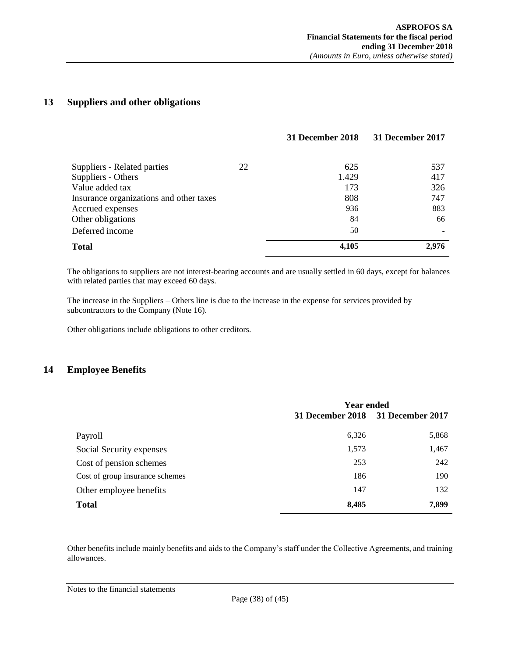# <span id="page-37-0"></span>**13 Suppliers and other obligations**

|                                         |    | 31 December 2018 | 31 December 2017 |
|-----------------------------------------|----|------------------|------------------|
|                                         |    |                  |                  |
| Suppliers - Related parties             | 22 | 625              | 537              |
| Suppliers - Others                      |    | 1.429            | 417              |
| Value added tax                         |    | 173              | 326              |
| Insurance organizations and other taxes |    | 808              | 747              |
| Accrued expenses                        |    | 936              | 883              |
| Other obligations                       |    | 84               | 66               |
| Deferred income                         |    | 50               |                  |
| <b>Total</b>                            |    | 4,105            | 2.976            |

The obligations to suppliers are not interest-bearing accounts and are usually settled in 60 days, except for balances with related parties that may exceed 60 days.

The increase in the Suppliers – Others line is due to the increase in the expense for services provided by subcontractors to the Company (Note 16).

Other obligations include obligations to other creditors.

# <span id="page-37-1"></span>**14 Employee Benefits**

|                                 | <b>Year ended</b> |                         |
|---------------------------------|-------------------|-------------------------|
|                                 | 31 December 2018  | <b>31 December 2017</b> |
| Payroll                         | 6,326             | 5,868                   |
| Social Security expenses        | 1,573             | 1,467                   |
| Cost of pension schemes         | 253               | 242                     |
| Cost of group insurance schemes | 186               | 190                     |
| Other employee benefits         | 147               | 132                     |
| <b>Total</b>                    | 8,485             | 7,899                   |

Other benefits include mainly benefits and aids to the Company's staff under the Collective Agreements, and training allowances.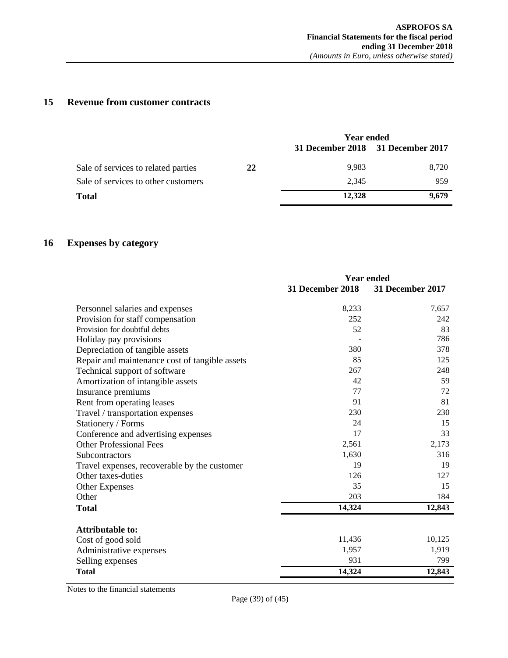# <span id="page-38-0"></span>**15 Revenue from customer contracts**

|                                     |    | Year ended                        |       |
|-------------------------------------|----|-----------------------------------|-------|
|                                     |    | 31 December 2018 31 December 2017 |       |
| Sale of services to related parties | 22 | 9.983                             | 8.720 |
| Sale of services to other customers |    | 2.345                             | 959   |
| <b>Total</b>                        |    | 12.328                            | 9,679 |

# <span id="page-38-1"></span>**16 Expenses by category**

|                                                | <b>Year ended</b> |                  |
|------------------------------------------------|-------------------|------------------|
|                                                | 31 December 2018  | 31 December 2017 |
| Personnel salaries and expenses                | 8,233             | 7,657            |
| Provision for staff compensation               | 252               | 242              |
| Provision for doubtful debts                   | 52                | 83               |
| Holiday pay provisions                         |                   | 786              |
| Depreciation of tangible assets                | 380               | 378              |
| Repair and maintenance cost of tangible assets | 85                | 125              |
| Technical support of software                  | 267               | 248              |
| Amortization of intangible assets              | 42                | 59               |
| Insurance premiums                             | 77                | 72               |
| Rent from operating leases                     | 91                | 81               |
| Travel / transportation expenses               | 230               | 230              |
| Stationery / Forms                             | 24                | 15               |
| Conference and advertising expenses            | 17                | 33               |
| <b>Other Professional Fees</b>                 | 2,561             | 2,173            |
| Subcontractors                                 | 1,630             | 316              |
| Travel expenses, recoverable by the customer   | 19                | 19               |
| Other taxes-duties                             | 126               | 127              |
| <b>Other Expenses</b>                          | 35                | 15               |
| Other                                          | 203               | 184              |
| <b>Total</b>                                   | 14,324            | 12,843           |
| <b>Attributable to:</b>                        |                   |                  |
| Cost of good sold                              | 11,436            | 10,125           |
| Administrative expenses                        | 1,957             | 1,919            |
| Selling expenses                               | 931               | 799              |
| <b>Total</b>                                   | 14,324            | 12,843           |
|                                                |                   |                  |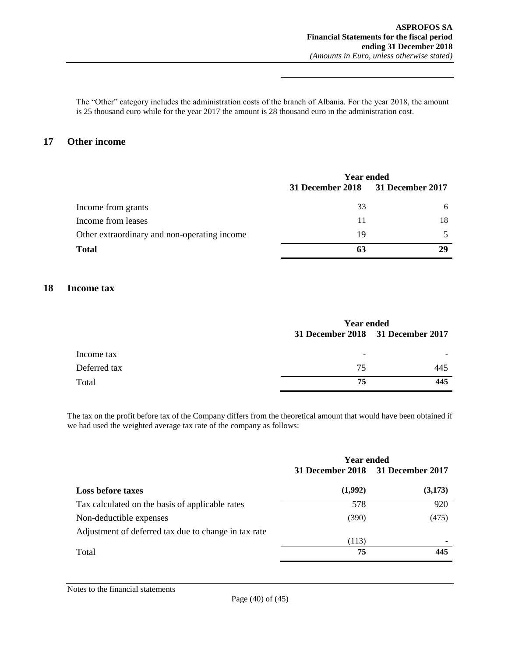The "Other" category includes the administration costs of the branch of Albania. For the year 2018, the amount is 25 thousand euro while for the year 2017 the amount is 28 thousand euro in the administration cost.

## <span id="page-39-0"></span>**17 Other income**

|                                              | <b>Year ended</b>                 |    |
|----------------------------------------------|-----------------------------------|----|
|                                              | 31 December 2018 31 December 2017 |    |
| Income from grants                           | 33                                | h  |
| Income from leases                           | 11                                | 18 |
| Other extraordinary and non-operating income | 19                                |    |
| <b>Total</b>                                 | 63                                |    |

## <span id="page-39-1"></span>**18 Income tax**

|              | <b>Year ended</b>                 |     |
|--------------|-----------------------------------|-----|
|              | 31 December 2018 31 December 2017 |     |
| Income tax   | ۰                                 |     |
| Deferred tax | 75                                | 445 |
| Total        | 75                                | 445 |

The tax on the profit before tax of the Company differs from the theoretical amount that would have been obtained if we had used the weighted average tax rate of the company as follows:

|                                                      | <b>Year ended</b> |                         |
|------------------------------------------------------|-------------------|-------------------------|
|                                                      | 31 December 2018  | <b>31 December 2017</b> |
| <b>Loss before taxes</b>                             | (1,992)           | (3,173)                 |
| Tax calculated on the basis of applicable rates      | 578               | 920                     |
| Non-deductible expenses                              | (390)             | (475)                   |
| Adjustment of deferred tax due to change in tax rate | (113)             |                         |
| Total                                                | 75                | 445                     |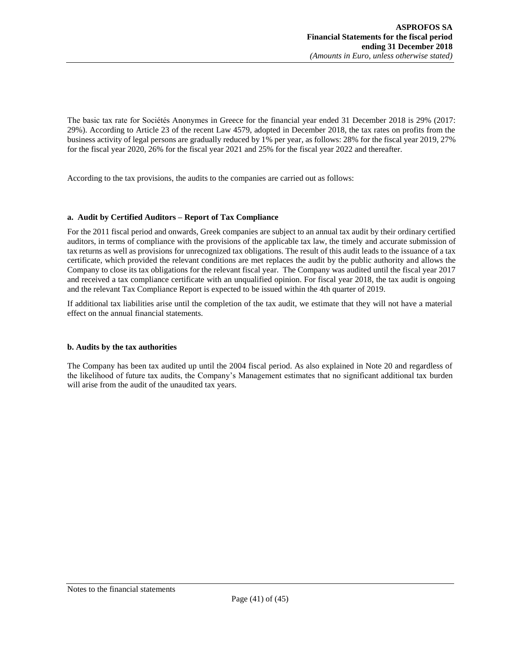The basic tax rate for Sociétés Anonymes in Greece for the financial year ended 31 December 2018 is 29% (2017: 29%). According to Article 23 of the recent Law 4579, adopted in December 2018, the tax rates on profits from the business activity of legal persons are gradually reduced by 1% per year, as follows: 28% for the fiscal year 2019, 27% for the fiscal year 2020, 26% for the fiscal year 2021 and 25% for the fiscal year 2022 and thereafter.

According to the tax provisions, the audits to the companies are carried out as follows:

## **a. Audit by Certified Auditors – Report of Tax Compliance**

For the 2011 fiscal period and onwards, Greek companies are subject to an annual tax audit by their ordinary certified auditors, in terms of compliance with the provisions of the applicable tax law, the timely and accurate submission of tax returns as well as provisions for unrecognized tax obligations. The result of this audit leads to the issuance of a tax certificate, which provided the relevant conditions are met replaces the audit by the public authority and allows the Company to close its tax obligations for the relevant fiscal year. The Company was audited until the fiscal year 2017 and received a tax compliance certificate with an unqualified opinion. For fiscal year 2018, the tax audit is ongoing and the relevant Tax Compliance Report is expected to be issued within the 4th quarter of 2019.

If additional tax liabilities arise until the completion of the tax audit, we estimate that they will not have a material effect on the annual financial statements.

#### **b. Audits by the tax authorities**

The Company has been tax audited up until the 2004 fiscal period. As also explained in Note 20 and regardless of the likelihood of future tax audits, the Company's Management estimates that no significant additional tax burden will arise from the audit of the unaudited tax years.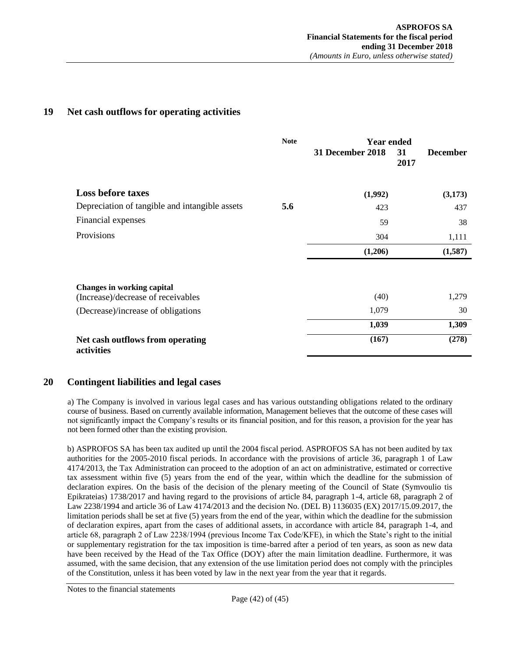# <span id="page-41-0"></span>**19 Net cash outflows for operating activities**

|                                                                         | <b>Note</b> | Year ended       |                               |
|-------------------------------------------------------------------------|-------------|------------------|-------------------------------|
|                                                                         |             | 31 December 2018 | 31<br><b>December</b><br>2017 |
| <b>Loss before taxes</b>                                                |             | (1,992)          | (3,173)                       |
| Depreciation of tangible and intangible assets                          | 5.6         | 423              | 437                           |
| Financial expenses                                                      |             | 59               | 38                            |
| Provisions                                                              |             | 304              | 1,111                         |
|                                                                         |             | (1,206)          | (1,587)                       |
| <b>Changes in working capital</b><br>(Increase)/decrease of receivables |             | (40)             | 1,279                         |
| (Decrease)/increase of obligations                                      |             | 1,079            | 30                            |
|                                                                         |             | 1,039            | 1,309                         |
| Net cash outflows from operating<br>activities                          |             | (167)            | (278)                         |

## <span id="page-41-1"></span>**20 Contingent liabilities and legal cases**

a) The Company is involved in various legal cases and has various outstanding obligations related to the ordinary course of business. Based on currently available information, Management believes that the outcome of these cases will not significantly impact the Company's results or its financial position, and for this reason, a provision for the year has not been formed other than the existing provision.

b) ASPROFOS SA has been tax audited up until the 2004 fiscal period. ASPROFOS SA has not been audited by tax authorities for the 2005-2010 fiscal periods. In accordance with the provisions of article 36, paragraph 1 of Law 4174/2013, the Tax Administration can proceed to the adoption of an act on administrative, estimated or corrective tax assessment within five (5) years from the end of the year, within which the deadline for the submission of declaration expires. On the basis of the decision of the plenary meeting of the Council of State (Symvoulio tis Epikrateias) 1738/2017 and having regard to the provisions of article 84, paragraph 1-4, article 68, paragraph 2 of Law 2238/1994 and article 36 of Law 4174/2013 and the decision No. (DEL B) 1136035 (EX) 2017/15.09.2017, the limitation periods shall be set at five (5) years from the end of the year, within which the deadline for the submission of declaration expires, apart from the cases of additional assets, in accordance with article 84, paragraph 1-4, and article 68, paragraph 2 of Law 2238/1994 (previous Income Tax Code/KFE), in which the State's right to the initial or supplementary registration for the tax imposition is time-barred after a period of ten years, as soon as new data have been received by the Head of the Tax Office (DOY) after the main limitation deadline. Furthermore, it was assumed, with the same decision, that any extension of the use limitation period does not comply with the principles of the Constitution, unless it has been voted by law in the next year from the year that it regards.

Notes to the financial statements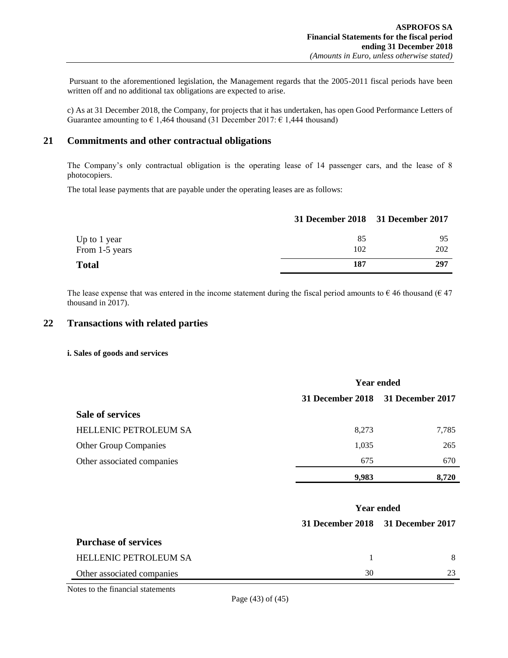Pursuant to the aforementioned legislation, the Management regards that the 2005-2011 fiscal periods have been written off and no additional tax obligations are expected to arise.

c) As at 31 December 2018, the Company, for projects that it has undertaken, has open Good Performance Letters of Guarantee amounting to  $\epsilon$  1,464 thousand (31 December 2017:  $\epsilon$  1,444 thousand)

## <span id="page-42-0"></span>**21 Commitments and other contractual obligations**

The Company's only contractual obligation is the operating lease of 14 passenger cars, and the lease of 8 photocopiers.

The total lease payments that are payable under the operating leases are as follows:

|                | 31 December 2018 31 December 2017 |     |
|----------------|-----------------------------------|-----|
| Up to 1 year   | 85                                | 95  |
| From 1-5 years | 102                               | 202 |
| <b>Total</b>   | 187                               | 297 |

The lease expense that was entered in the income statement during the fiscal period amounts to  $\epsilon$  46 thousand ( $\epsilon$  47) thousand in 2017).

## <span id="page-42-1"></span>**22 Transactions with related parties**

#### **i. Sales of goods and services**

|                              | <b>Year ended</b> |                                   |
|------------------------------|-------------------|-----------------------------------|
|                              |                   | 31 December 2018 31 December 2017 |
| <b>Sale of services</b>      |                   |                                   |
| HELLENIC PETROLEUM SA        | 8,273             | 7.785                             |
| <b>Other Group Companies</b> | 1,035             | 265                               |
| Other associated companies   | 675               | 670                               |
|                              | 9,983             | 8.720                             |

|                              | <b>Year ended</b> |                                   |
|------------------------------|-------------------|-----------------------------------|
|                              |                   | 31 December 2018 31 December 2017 |
| <b>Purchase of services</b>  |                   |                                   |
| <b>HELLENIC PETROLEUM SA</b> |                   | 8                                 |
| Other associated companies   | 30                | 23                                |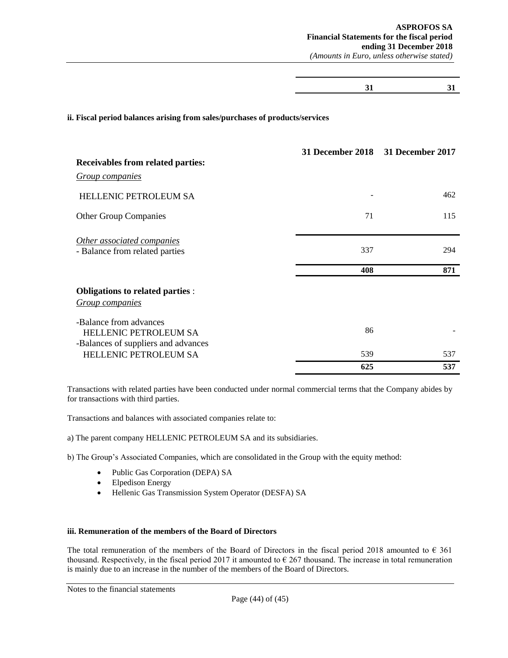**31 31**

#### **ii. Fiscal period balances arising from sales/purchases of products/services**

|                                                                                               | 31 December 2018 31 December 2017 |     |
|-----------------------------------------------------------------------------------------------|-----------------------------------|-----|
| <b>Receivables from related parties:</b>                                                      |                                   |     |
| <b>Group companies</b>                                                                        |                                   |     |
| <b>HELLENIC PETROLEUM SA</b>                                                                  |                                   | 462 |
| <b>Other Group Companies</b>                                                                  | 71                                | 115 |
| Other associated companies<br>- Balance from related parties                                  | 337                               | 294 |
|                                                                                               | 408                               | 871 |
| Obligations to related parties :<br><b>Group companies</b>                                    |                                   |     |
| -Balance from advances<br><b>HELLENIC PETROLEUM SA</b><br>-Balances of suppliers and advances | 86                                |     |
| <b>HELLENIC PETROLEUM SA</b>                                                                  | 539                               | 537 |
|                                                                                               | 625                               | 537 |

Transactions with related parties have been conducted under normal commercial terms that the Company abides by for transactions with third parties.

Transactions and balances with associated companies relate to:

- a) The parent company HELLENIC PETROLEUM SA and its subsidiaries.
- b) The Group's Associated Companies, which are consolidated in the Group with the equity method:
	- Public Gas Corporation (DEPA) SA
	- Elpedison Energy
	- Hellenic Gas Transmission System Operator (DESFA) SA

#### **iii. Remuneration of the members of the Board of Directors**

The total remuneration of the members of the Board of Directors in the fiscal period 2018 amounted to  $\epsilon$  361 thousand. Respectively, in the fiscal period 2017 it amounted to  $\epsilon$  267 thousand. The increase in total remuneration is mainly due to an increase in the number of the members of the Board of Directors.